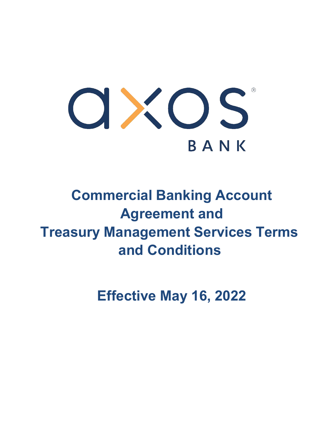

# **Commercial Banking Account Agreement and Treasury Management Services Terms and Conditions**

**Effective May 16, 2022**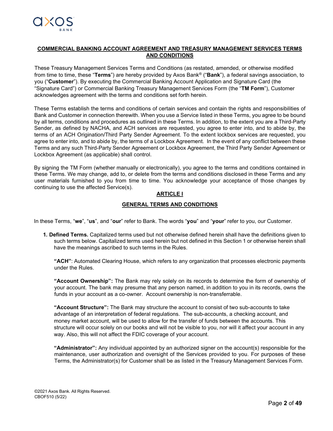### **COMMERCIAL BANKING ACCOUNT AGREEMENT AND TREASURY MANAGEMENT SERVICES TERMS AND CONDITIONS**

These Treasury Management Services Terms and Conditions (as restated, amended, or otherwise modified from time to time, these "**Terms**") are hereby provided by Axos Bank® ("**Bank**"), a federal savings association, to you ("**Customer**"). By executing the Commercial Banking Account Application and Signature Card (the "Signature Card") or Commercial Banking Treasury Management Services Form (the "**TM Form**"), Customer acknowledges agreement with the terms and conditions set forth herein.

These Terms establish the terms and conditions of certain services and contain the rights and responsibilities of Bank and Customer in connection therewith. When you use a Service listed in these Terms, you agree to be bound by all terms, conditions and procedures as outlined in these Terms. In addition, to the extent you are a Third-Party Sender, as defined by NACHA, and ACH services are requested, you agree to enter into, and to abide by, the terms of an ACH Origination/Third Party Sender Agreement. To the extent lockbox services are requested, you agree to enter into, and to abide by, the terms of a Lockbox Agreement. In the event of any conflict between these Terms and any such Third-Party Sender Agreement or Lockbox Agreement, the Third Party Sender Agreement or Lockbox Agreement (as applicable) shall control.

By signing the TM Form (whether manually or electronically), you agree to the terms and conditions contained in these Terms. We may change, add to, or delete from the terms and conditions disclosed in these Terms and any user materials furnished to you from time to time. You acknowledge your acceptance of those changes by continuing to use the affected Service(s).

## **ARTICLE I**

## **GENERAL TERMS AND CONDITIONS**

In these Terms, "**we**", "**us**", and "**our**" refer to Bank. The words "**you**" and "**your**" refer to you, our Customer.

**1. Defined Terms.** Capitalized terms used but not otherwise defined herein shall have the definitions given to such terms below. Capitalized terms used herein but not defined in this Section 1 or otherwise herein shall have the meanings ascribed to such terms in the Rules.

**"ACH"**: Automated Clearing House, which refers to any organization that processes electronic payments under the Rules.

**"Account Ownership":** The Bank may rely solely on its records to determine the form of ownership of your account. The bank may presume that any person named, in addition to you in its records, owns the funds in your account as a co-owner. Account ownership is non-transferrable.

**"Account Structure":** The Bank may structure the account to consist of two sub-accounts to take advantage of an interpretation of federal regulations. The sub-accounts, a checking account, and money market account, will be used to allow for the transfer of funds between the accounts. This structure will occur solely on our books and will not be visible to you, nor will it affect your account in any way. Also, this will not affect the FDIC coverage of your account.

**"Administrator":** Any individual appointed by an authorized signer on the account(s) responsible for the maintenance, user authorization and oversight of the Services provided to you. For purposes of these Terms, the Administrator(s) for Customer shall be as listed in the Treasury Management Services Form.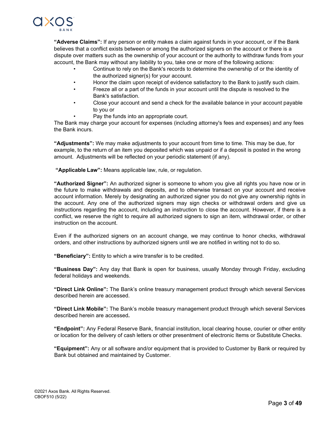

**"Adverse Claims":** If any person or entity makes a claim against funds in your account, or if the Bank believes that a conflict exists between or among the authorized signers on the account or there is a dispute over matters such as the ownership of your account or the authority to withdraw funds from your account, the Bank may without any liability to you, take one or more of the following actions:

- Continue to rely on the Bank's records to determine the ownership of or the identity of the authorized signer(s) for your account.
- Honor the claim upon receipt of evidence satisfactory to the Bank to justify such claim.
- Freeze all or a part of the funds in your account until the dispute is resolved to the Bank's satisfaction.
- Close your account and send a check for the available balance in your account payable to you or
	- Pay the funds into an appropriate court.

The Bank may charge your account for expenses (including attorney's fees and expenses) and any fees the Bank incurs.

**"Adjustments":** We may make adjustments to your account from time to time. This may be due, for example, to the return of an item you deposited which was unpaid or if a deposit is posted in the wrong amount. Adjustments will be reflected on your periodic statement (if any).

**"Applicable Law":** Means applicable law, rule, or regulation.

**"Authorized Signer":** An authorized signer is someone to whom you give all rights you have now or in the future to make withdrawals and deposits, and to otherwise transact on your account and receive account information. Merely by designating an authorized signer you do not give any ownership rights in the account. Any one of the authorized signers may sign checks or withdrawal orders and give us instructions regarding the account, including an instruction to close the account. However, if there is a conflict, we reserve the right to require all authorized signers to sign an item, withdrawal order, or other instruction on the account.

Even if the authorized signers on an account change, we may continue to honor checks, withdrawal orders, and other instructions by authorized signers until we are notified in writing not to do so.

**"Beneficiary":** Entity to which a wire transfer is to be credited.

**"Business Day":** Any day that Bank is open for business, usually Monday through Friday, excluding federal holidays and weekends.

**"Direct Link Online":** The Bank's online treasury management product through which several Services described herein are accessed.

**"Direct Link Mobile":** The Bank's mobile treasury management product through which several Services described herein are accessed**.**

**"Endpoint":** Any Federal Reserve Bank, financial institution, local clearing house, courier or other entity or location for the delivery of cash letters or other presentment of electronic Items or Substitute Checks.

**"Equipment":** Any or all software and/or equipment that is provided to Customer by Bank or required by Bank but obtained and maintained by Customer.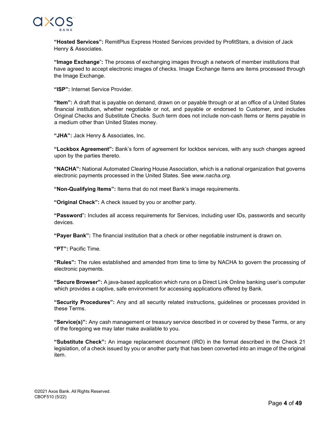

**"Hosted Services":** RemitPlus Express Hosted Services provided by ProfitStars, a division of Jack Henry & Associates.

**"Image Exchange**"**:** The process of exchanging images through a network of member institutions that have agreed to accept electronic images of checks. Image Exchange Items are items processed through the Image Exchange.

**"ISP":** Internet Service Provider.

**"Item":** A draft that is payable on demand, drawn on or payable through or at an office of a United States financial institution, whether negotiable or not, and payable or endorsed to Customer, and includes Original Checks and Substitute Checks. Such term does not include non-cash Items or Items payable in a medium other than United States money.

**"JHA":** Jack Henry & Associates, Inc.

**"Lockbox Agreement":** Bank's form of agreement for lockbox services, with any such changes agreed upon by the parties thereto.

**"NACHA":** National Automated Clearing House Association, which is a national organization that governs electronic payments processed in the United States. See *[www.nacha.org.](http://www.nacha.org/)*

**"Non-Qualifying Items":** Items that do not meet Bank's image requirements.

**"Original Check":** A check issued by you or another party.

**"Password**"**:** Includes all access requirements for Services, including user IDs, passwords and security devices.

**"Payer Bank":** The financial institution that a check or other negotiable instrument is drawn on.

**"PT":** Pacific Time.

**"Rules":** The rules established and amended from time to time by NACHA to govern the processing of electronic payments.

**"Secure Browser":** A java-based application which runs on a Direct Link Online banking user's computer which provides a captive, safe environment for accessing applications offered by Bank.

**"Security Procedures":** Any and all security related instructions, guidelines or processes provided in these Terms.

**"Service(s)":** Any cash management or treasury service described in or covered by these Terms, or any of the foregoing we may later make available to you.

**"Substitute Check":** An image replacement document (IRD) in the format described in the Check 21 legislation, of a check issued by you or another party that has been converted into an image of the original item.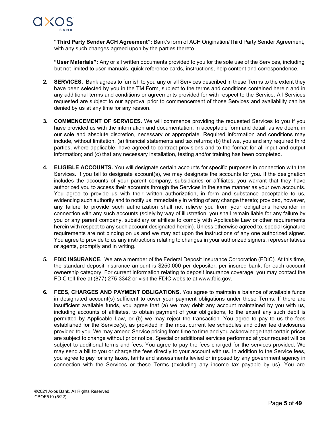

**"Third Party Sender ACH Agreement":** Bank's form of ACH Origination/Third Party Sender Agreement, with any such changes agreed upon by the parties thereto.

**"User Materials":** Any or all written documents provided to you for the sole use of the Services, including but not limited to user manuals, quick reference cards, instructions, help content and correspondence.

- **2. SERVICES.** Bank agrees to furnish to you any or all Services described in these Terms to the extent they have been selected by you in the TM Form, subject to the terms and conditions contained herein and in any additional terms and conditions or agreements provided for with respect to the Service. All Services requested are subject to our approval prior to commencement of those Services and availability can be denied by us at any time for any reason.
- **3. COMMENCEMENT OF SERVICES.** We will commence providing the requested Services to you if you have provided us with the information and documentation, in acceptable form and detail, as we deem, in our sole and absolute discretion, necessary or appropriate. Required information and conditions may include, without limitation, (a) financial statements and tax returns; (b) that we, you and any required third parties, where applicable, have agreed to contract provisions and to the format for all input and output information; and (c) that any necessary installation, testing and/or training has been completed.
- **4. ELIGIBLE ACCOUNTS.** You will designate certain accounts for specific purposes in connection with the Services. If you fail to designate account(s), we may designate the accounts for you. If the designation includes the accounts of your parent company, subsidiaries or affiliates, you warrant that they have authorized you to access their accounts through the Services in the same manner as your own accounts. You agree to provide us with their written authorization, in form and substance acceptable to us, evidencing such authority and to notify us immediately in writing of any change thereto; provided, however, any failure to provide such authorization shall not relieve you from your obligations hereunder in connection with any such accounts (solely by way of illustration, you shall remain liable for any failure by you or any parent company, subsidiary or affiliate to comply with Applicable Law or other requirements herein with respect to any such account designated herein). Unless otherwise agreed to, special signature requirements are not binding on us and we may act upon the instructions of any one authorized signer. You agree to provide to us any instructions relating to changes in your authorized signers, representatives or agents, promptly and in writing.
- **5. FDIC INSURANCE.** We are a member of the Federal Deposit Insurance Corporation (FDIC). At this time, the standard deposit insurance amount is \$250,000 per depositor, per insured bank, for each account ownership category. For current information relating to deposit insurance coverage, you may contact the FDIC toll-free at (877) 275-3342 or visit the FDIC website at [www.fdic.gov.](http://www.fdic.gov/)
- **6. FEES, CHARGES AND PAYMENT OBLIGATIONS.** You agree to maintain a balance of available funds in designated account(s) sufficient to cover your payment obligations under these Terms. If there are insufficient available funds, you agree that (a) we may debit any account maintained by you with us, including accounts of affiliates, to obtain payment of your obligations, to the extent any such debit is permitted by Applicable Law, or (b) we may reject the transaction. You agree to pay to us the fees established for the Service(s), as provided in the most current fee schedules and other fee disclosures provided to you. We may amend Service pricing from time to time and you acknowledge that certain prices are subject to change without prior notice. Special or additional services performed at your request will be subject to additional terms and fees. You agree to pay the fees charged for the services provided. We may send a bill to you or charge the fees directly to your account with us. In addition to the Service fees, you agree to pay for any taxes, tariffs and assessments levied or imposed by any government agency in connection with the Services or these Terms (excluding any income tax payable by us). You are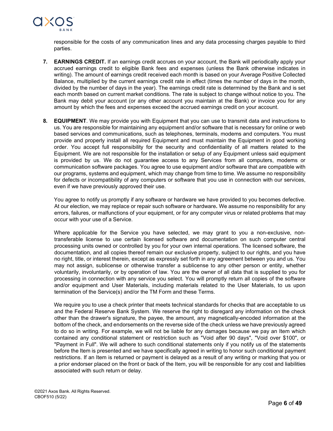

responsible for the costs of any communication lines and any data processing charges payable to third parties.

- **7. EARNINGS CREDIT.** If an earnings credit accrues on your account, the Bank will periodically apply your accrued earnings credit to eligible Bank fees and expenses (unless the Bank otherwise indicates in writing). The amount of earnings credit received each month is based on your Average Positive Collected Balance, multiplied by the current earnings credit rate in effect (times the number of days in the month, divided by the number of days in the year). The earnings credit rate is determined by the Bank and is set each month based on current market conditions. The rate is subject to change without notice to you. The Bank may debit your account (or any other account you maintain at the Bank) or invoice you for any amount by which the fees and expenses exceed the accrued earnings credit on your account.
- **8. EQUIPMENT**. We may provide you with Equipment that you can use to transmit data and instructions to us. You are responsible for maintaining any equipment and/or software that is necessary for online or web based services and communications, such as telephones, terminals, modems and computers. You must provide and properly install all required Equipment and must maintain the Equipment in good working order. You accept full responsibility for the security and confidentiality of all matters related to the Equipment. We are not responsible for the installation or setup of any Equipment unless said equipment is provided by us. We do not guarantee access to any Services from all computers, modems or communication software packages. You agree to use equipment and/or software that are compatible with our programs, systems and equipment, which may change from time to time. We assume no responsibility for defects or incompatibility of any computers or software that you use in connection with our services, even if we have previously approved their use.

You agree to notify us promptly if any software or hardware we have provided to you becomes defective. At our election, we may replace or repair such software or hardware**.** We assume no responsibility for any errors, failures, or malfunctions of your equipment, or for any computer virus or related problems that may occur with your use of a Service.

Where applicable for the Service you have selected, we may grant to you a non-exclusive, nontransferable license to use certain licensed software and documentation on such computer central processing units owned or controlled by you for your own internal operations. The licensed software, the documentation, and all copies thereof remain our exclusive property, subject to our rights, and you have no right, title, or interest therein, except as expressly set forth in any agreement between you and us. You may not assign, sublicense or otherwise transfer a sublicense to any other person or entity, whether voluntarily, involuntarily, or by operation of law. You are the owner of all data that is supplied to you for processing in connection with any service you select. You will promptly return all copies of the software and/or equipment and User Materials, including materials related to the User Materials, to us upon termination of the Service(s) and/or the TM Form and these Terms.

We require you to use a check printer that meets technical standards for checks that are acceptable to us and the Federal Reserve Bank System. We reserve the right to disregard any information on the check other than the drawer's signature, the payee, the amount, any magnetically-encoded information at the bottom of the check, and endorsements on the reverse side of the check unless we have previously agreed to do so in writing. For example, we will not be liable for any damages because we pay an Item which contained any conditional statement or restriction such as "Void after 90 days", "Void over \$100", or "Payment in Full". We will adhere to such conditional statements only if you notify us of the statements before the Item is presented and we have specifically agreed in writing to honor such conditional payment restrictions. If an Item is returned or payment is delayed as a result of any writing or marking that you or a prior endorser placed on the front or back of the Item, you will be responsible for any cost and liabilities associated with such return or delay.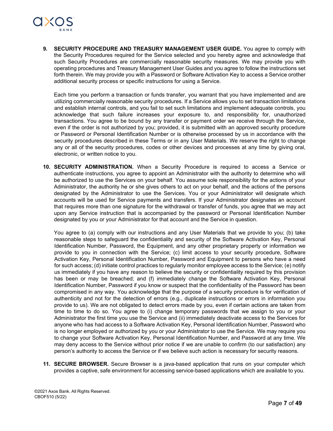

**9. SECURITY PROCEDURE AND TREASURY MANAGEMENT USER GUIDE.** You agree to comply with the Security Procedures required for the Service selected and you hereby agree and acknowledge that such Security Procedures are commercially reasonable security measures. We may provide you with operating procedures and Treasury Management User Guides and you agree to follow the instructions set forth therein. We may provide you with a Password or Software Activation Key to access a Service orother additional security process or specific instructions for using a Service.

Each time you perform a transaction or funds transfer, you warrant that you have implemented and are utilizing commercially reasonable security procedures. If a Service allows you to set transaction limitations and establish internal controls, and you fail to set such limitations and implement adequate controls, you acknowledge that such failure increases your exposure to, and responsibility for, unauthorized transactions. You agree to be bound by any transfer or payment order we receive through the Service, even if the order is not authorized by you; provided, it is submitted with an approved security procedure or Password or Personal Identification Number or is otherwise processed by us in accordance with the security procedures described in these Terms or in any User Materials. We reserve the right to change any or all of the security procedures, codes or other devices and processes at any time by giving oral, electronic, or written notice to you.

**10. SECURITY ADMINISTRATION.** When a Security Procedure is required to access a Service or authenticate instructions, you agree to appoint an Administrator with the authority to determine who will be authorized to use the Services on your behalf. You assume sole responsibility for the actions of your Administrator, the authority he or she gives others to act on your behalf, and the actions of the persons designated by the Administrator to use the Services. You or your Administrator will designate which accounts will be used for Service payments and transfers. If your Administrator designates an account that requires more than one signature for the withdrawal or transfer of funds, you agree that we may act upon any Service instruction that is accompanied by the password or Personal Identification Number designated by you or your Administrator for that account and the Service in question.

You agree to (a) comply with our instructions and any User Materials that we provide to you; (b) take reasonable steps to safeguard the confidentiality and security of the Software Activation Key, Personal Identification Number, Password, the Equipment, and any other proprietary property or information we provide to you in connection with the Service; (c) limit access to your security procedure, Software Activation Key, Personal Identification Number, Password and Equipment to persons who have a need for such access; (d) initiate control practices to regularly monitor employee access to the Service; (e) notify us immediately if you have any reason to believe the security or confidentiality required by this provision has been or may be breached; and (f) immediately change the Software Activation Key, Personal Identification Number, Password if you know or suspect that the confidentiality of the Password has been compromised in any way. You acknowledge that the purpose of a security procedure is for verification of authenticity and not for the detection of errors (e.g., duplicate instructions or errors in information you provide to us). We are not obligated to detect errors made by you, even if certain actions are taken from time to time to do so. You agree to (i) change temporary passwords that we assign to you or your Administrator the first time you use the Service and (ii) immediately deactivate access to the Services for anyone who has had access to a Software Activation Key, Personal Identification Number, Password who is no longer employed or authorized by you or your Administrator to use the Service. We may require you to change your Software Activation Key, Personal Identification Number, and Password at any time. We may deny access to the Service without prior notice if we are unable to confirm (to our satisfaction) any person's authority to access the Service or if we believe such action is necessary for security reasons.

**11. SECURE BROWSER.** Secure Browser is a java-based application that runs on your computer which provides a captive, safe environment for accessing service-based applications which are available to you.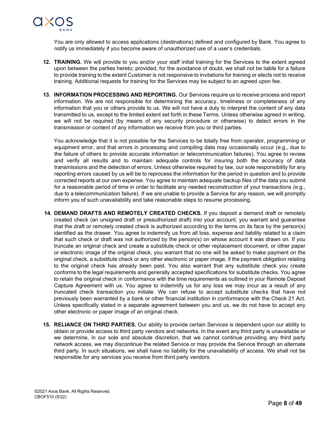

You are only allowed to access applications (destinations) defined and configured by Bank. You agree to notify us immediately if you become aware of unauthorized use of a user's credentials.

- **12. TRAINING.** We will provide to you and/or your staff initial training for the Services to the extent agreed upon between the parties hereto; provided, for the avoidance of doubt, we shall not be liable for a failure to provide training to the extent Customer is not responsive to invitations for training or elects not to receive training. Additional requests for training for the Services may be subject to an agreed upon fee.
- **13. INFORMATION PROCESSING AND REPORTING.** Our Services require us to receive process and report information. We are not responsible for determining the accuracy, timeliness or completeness of any information that you or others provide to us. We will not have a duty to interpret the content of any data transmitted to us, except to the limited extent set forth in these Terms. Unless otherwise agreed in writing, we will not be required (by means of any security procedure or otherwise) to detect errors in the transmission or content of any information we receive from you or third parties.

You acknowledge that it is not possible for the Services to be totally free from operator, programming or equipment error, and that errors in processing and compiling data may occasionally occur (e.g., due to the failure of others to provide accurate information or telecommunication failures). You agree to review and verify all results and to maintain adequate controls for insuring both the accuracy of data transmissions and the detection of errors. Unless otherwise required by law, our sole responsibility for any reporting errors caused by us will be to reprocess the information for the period in question and to provide corrected reports at our own expense. You agree to maintain adequate backup files of the data you submit for a reasonable period of time in order to facilitate any needed reconstruction of your transactions (e.g., due to a telecommunication failure). If we are unable to provide a Service for any reason, we will promptly inform you of such unavailability and take reasonable steps to resume processing.

- **14. DEMAND DRAFTS AND REMOTELY CREATED CHECKS.** If you deposit a demand draft or remotely created check (an unsigned draft or preauthorized draft) into your account, you warrant and guarantee that the draft or remotely created check is authorized according to the terms on its face by the person(s) identified as the drawer. You agree to indemnify us from all loss, expense and liability related to a claim that such check or draft was not authorized by the person(s) on whose account it was drawn on. If you truncate an original check and create a substitute check or other replacement document, or other paper or electronic image of the original check, you warrant that no one will be asked to make payment on the original check, a substitute check or any other electronic or paper image, if the payment obligation relating to the original check has already been paid. You also warrant that any substitute check you create conforms to the legal requirements and generally accepted specifications for substitute checks. You agree to retain the original check in conformance with the time requirements as outlined in your Remote Deposit Capture Agreement with us. You agree to indemnify us for any loss we may incur as a result of any truncated check transaction you initiate. We can refuse to accept substitute checks that have not previously been warranted by a bank or other financial institution in conformance with the Check 21 Act. Unless specifically stated in a separate agreement between you and us, we do not have to accept any other electronic or paper image of an original check.
- **15. RELIANCE ON THIRD PARTIES.** Our ability to provide certain Services is dependent upon our ability to obtain or provide access to third party vendors and networks. In the event any third party is unavailable or we determine, in our sole and absolute discretion, that we cannot continue providing any third party network access, we may discontinue the related Service or may provide the Service through an alternate third party. In such situations, we shall have no liability for the unavailability of access. We shall not be responsible for any services you receive from third party vendors.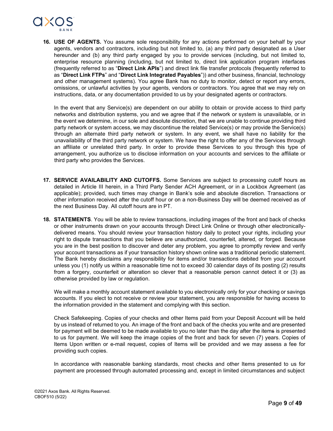

**16. USE OF AGENTS.** You assume sole responsibility for any actions performed on your behalf by your agents, vendors and contractors, including but not limited to, (a) any third party designated as a User hereunder and (b) any third party engaged by you to provide services (including, but not limited to, enterprise resource planning (including, but not limited to, direct link application program interfaces (frequently referred to as "**Direct Link APIs**") and direct link file transfer protocols (frequently referred to as "**Direct Link FTPs**" and "**Direct Link Integrated Payables**")) and other business, financial, technology and other management systems). You agree Bank has no duty to monitor, detect or report any errors, omissions, or unlawful activities by your agents, vendors or contractors. You agree that we may rely on instructions, data, or any documentation provided to us by your designated agents or contractors.

In the event that any Service(s) are dependent on our ability to obtain or provide access to third party networks and distribution systems, you and we agree that if the network or system is unavailable, or in the event we determine, in our sole and absolute discretion, that we are unable to continue providing third party network or system access, we may discontinue the related Service(s) or may provide the Service(s) through an alternate third party network or system. In any event, we shall have no liability for the unavailability of the third party network or system. We have the right to offer any of the Services through an affiliate or unrelated third party. In order to provide these Services to you through this type of arrangement, you authorize us to disclose information on your accounts and services to the affiliate or third party who provides the Services.

- **17. SERVICE AVAILABILITY AND CUTOFFS.** Some Services are subject to processing cutoff hours as detailed in Article III herein, in a Third Party Sender ACH Agreement, or in a Lockbox Agreement (as applicable); provided, such times may change in Bank's sole and absolute discretion. Transactions or other information received after the cutoff hour or on a non-Business Day will be deemed received as of the next Business Day. All cutoff hours are in PT.
- **18. STATEMENTS**. You will be able to review transactions, including images of the front and back of checks or other instruments drawn on your accounts through Direct Link Online or through other electronicallydelivered means. You should review your transaction history daily to protect your rights, including your right to dispute transactions that you believe are unauthorized, counterfeit, altered, or forged. Because you are in the best position to discover and deter any problem, you agree to promptly review and verify your account transactions as if your transaction history shown online was a traditional periodic statement. The Bank hereby disclaims any responsibility for items and/or transactions debited from your account unless you (1) notify us within a reasonable time not to exceed 30 calendar days of its posting (2) results from a forgery, counterfeit or alteration so clever that a reasonable person cannot detect it or (3) as otherwise provided by law or regulation.

We will make a monthly account statement available to you electronically only for your checking or savings accounts. If you elect to not receive or review your statement, you are responsible for having access to the information provided in the statement and complying with this section.

Check Safekeeping. Copies of your checks and other Items paid from your Deposit Account will be held by us instead of returned to you. An image of the front and back of the checks you write and are presented for payment will be deemed to be made available to you no later than the day after the items is presented to us for payment. We will keep the image copies of the front and back for seven (7) years. Copies of Items Upon written or e-mail request, copies of Items will be provided and we may assess a fee for providing such copies.

In accordance with reasonable banking standards, most checks and other Items presented to us for payment are processed through automated processing and, except in limited circumstances and subject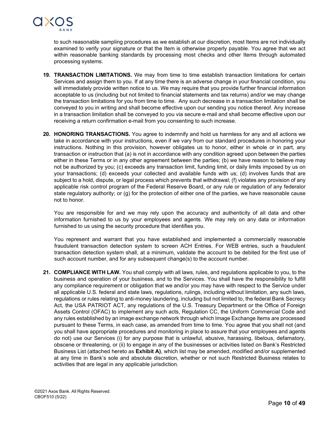

to such reasonable sampling procedures as we establish at our discretion, most Items are not individually examined to verify your signature or that the Item is otherwise properly payable. You agree that we act within reasonable banking standards by processing most checks and other Items through automated processing systems.

- **19. TRANSACTION LIMITATIONS.** We may from time to time establish transaction limitations for certain Services and assign them to you. If at any time there is an adverse change in your financial condition, you will immediately provide written notice to us. We may require that you provide further financial information acceptable to us (including but not limited to financial statements and tax returns) and/or we may change the transaction limitations for you from time to time. Any such decrease in a transaction limitation shall be conveyed to you in writing and shall become effective upon our sending you notice thereof. Any increase in a transaction limitation shall be conveyed to you via secure e-mail and shall become effective upon our receiving a return confirmation e-mail from you consenting to such increase.
- **20. HONORING TRANSACTIONS.** You agree to indemnify and hold us harmless for any and all actions we take in accordance with your instructions, even if we vary from our standard procedures in honoring your instructions. Nothing in this provision, however obligates us to honor, either in whole or in part, any transaction or instruction that (a) is not in accordance with any condition agreed upon between the parties either in these Terms or in any other agreement between the parties; (b) we have reason to believe may not be authorized by you; (c) exceeds any transaction limit, funding limit, or daily limits imposed by us on your transactions; (d) exceeds your collected and available funds with us; (d) involves funds that are subject to a hold, dispute, or legal process which prevents that withdrawal; (f) violates any provision of any applicable risk control program of the Federal Reserve Board, or any rule or regulation of any federalor state regulatory authority; or (g) for the protection of either one of the parties, we have reasonable cause not to honor.

You are responsible for and we may rely upon the accuracy and authenticity of all data and other information furnished to us by your employees and agents. We may rely on any data or information furnished to us using the security procedure that identifies you.

You represent and warrant that you have established and implemented a commercially reasonable fraudulent transaction detection system to screen ACH Entries. For WEB entries, such a fraudulent transaction detection system shall, at a minimum, validate the account to be debited for the first use of such account number, and for any subsequent change(s) to the account number.

**21. COMPLIANCE WITH LAW***.* You shall comply with all laws, rules, and regulations applicable to you, to the business and operation of your business, and to the Services. You shall have the responsibility to fulfill any compliance requirement or obligation that we and/or you may have with respect to the Service under all applicable U.S. federal and state laws, regulations, rulings, including without limitation, any such laws, regulations or rules relating to anti-money laundering, including but not limited to, the federal Bank Secrecy Act, the USA PATRIOT ACT, any regulations of the U.S. Treasury Department or the Office of Foreign Assets Control (OFAC) to implement any such acts, Regulation CC, the Uniform Commercial Code and any rules established by an image exchange network through which Image Exchange Items are processed pursuant to these Terms, in each case, as amended from time to time. You agree that you shall not (and you shall have appropriate procedures and monitoring in place to assure that your employees and agents do not) use our Services (i) for any purpose that is unlawful, abusive, harassing, libelous, defamatory, obscene or threatening, or (ii) to engage in any of the businesses or activities listed on Bank's Restricted Business List (attached hereto as **Exhibit A)**, which list may be amended, modified and/or supplemented at any time in Bank's sole and absolute discretion, whether or not such Restricted Business relates to activities that are legal in any applicable jurisdiction.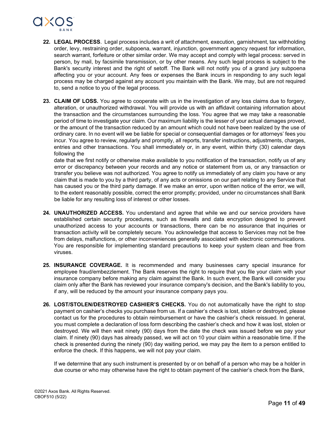

- **22. LEGAL PROCESS**. Legal process includes a writ of attachment, execution, garnishment, tax withholding order, levy, restraining order, subpoena, warrant, injunction, government agency request for information, search warrant, forfeiture or other similar order. We may accept and comply with legal process: served in person, by mail, by facsimile transmission, or by other means. Any such legal process is subject to the Bank's security interest and the right of setoff. The Bank will not notify you of a grand jury subpoena affecting you or your account. Any fees or expenses the Bank incurs in responding to any such legal process may be charged against any account you maintain with the Bank. We may, but are not required to, send a notice to you of the legal process.
- **23. CLAIM OF LOSS.** You agree to cooperate with us in the investigation of any loss claims due to forgery, alteration, or unauthorized withdrawal. You will provide us with an affidavit containing information about the transaction and the circumstances surrounding the loss. You agree that we may take a reasonable period of time to investigate your claim. Our maximum liability is the lesser of your actual damages proved, or the amount of the transaction reduced by an amount which could not have been realized by the use of ordinary care. In no event will we be liable for special or consequential damages or for attorneys' fees you incur. You agree to review, regularly and promptly, all reports, transfer instructions, adjustments, charges, entries and other transactions. You shall immediately or, in any event, within thirty (30) calendar days following the

date that we first notify or otherwise make available to you notification of the transaction, notify us of any error or discrepancy between your records and any notice or statement from us, or any transaction or transfer you believe was not authorized. You agree to notify us immediately of any claim you have or any claim that is made to you by a third party, of any acts or omissions on our part relating to any Service that has caused you or the third party damage. If we make an error, upon written notice of the error, we will, to the extent reasonably possible, correct the error promptly; provided, under no circumstances shall Bank be liable for any resulting loss of interest or other losses.

- **24. UNAUTHORIZED ACCESS.** You understand and agree that while we and our service providers have established certain security procedures, such as firewalls and data encryption designed to prevent unauthorized access to your accounts or transactions, there can be no assurance that inquiries or transaction activity will be completely secure. You acknowledge that access to Services may not be free from delays, malfunctions, or other inconveniences generally associated with electronic communications. You are responsible for implementing standard precautions to keep your system clean and free from viruses.
- **25. INSURANCE COVERAGE.** It is recommended and many businesses carry special insurance for employee fraud/embezzlement. The Bank reserves the right to require that you file your claim with your insurance company before making any claim against the Bank. In such event, the Bank will consider you claim only after the Bank has reviewed your insurance company's decision, and the Bank's liability to you, if any, will be reduced by the amount your insurance company pays you.
- **26. LOST/STOLEN/DESTROYED CASHIER'S CHECKS.** You do not automatically have the right to stop payment on cashier's checks you purchase from us. If a cashier's check is lost, stolen or destroyed, please contact us for the procedures to obtain reimbursement or have the cashier's check reissued. In general, you must complete a declaration of loss form describing the cashier's check and how it was lost, stolen or destroyed. We will then wait ninety (90) days from the date the check was issued before we pay your claim. If ninety (90) days has already passed, we will act on 10 your claim within a reasonable time. If the check is presented during the ninety (90) day waiting period, we may pay the item to a person entitled to enforce the check. If this happens, we will not pay your claim.

If we determine that any such instrument is presented by or on behalf of a person who may be a holder in due course or who may otherwise have the right to obtain payment of the cashier's check from the Bank,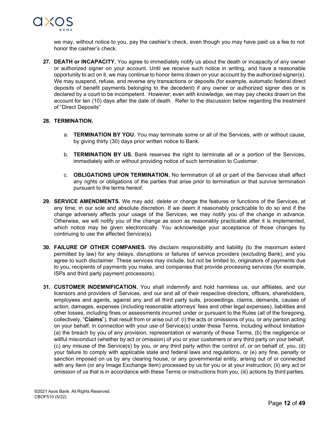

we may, without notice to you, pay the cashier's check, even though you may have paid us a fee to not honor the cashier's check.

**27. DEATH or INCAPACITY.** You agree to immediately notify us about the death or incapacity of any owner or authorized signer on your account. Until we receive such notice in writing, and have a reasonable opportunity to act on it, we may continue to honor items drawn on your account by the authorized signer(s). We may suspend, refuse, and reverse any transactions or deposits (for example, automatic federal direct deposits of benefit payments belonging to the decedent) if any owner or authorized signer dies or is declared by a court to be incompetent. However, even with knowledge, we may pay checks drawn on the account for ten (10) days after the date of death. Refer to the discussion below regarding the treatment of "Direct Deposits"

#### **28. TERMINATION.**

- a. **TERMINATION BY YOU.** You may terminate some or all of the Services, with or without cause, by giving thirty (30) days prior written notice to Bank.
- b. **TERMINATION BY US.** Bank reserves the right to terminate all or a portion of the Services, immediately with or without providing notice of such termination to Customer.
- c. **OBLIGATIONS UPON TERMINATION.** No termination of all or part of the Services shall affect any rights or obligations of the parties that arise prior to termination or that survive termination pursuant to the terms hereof.
- **29. SERVICE AMENDMENTS.** We may add, delete or change the features or functions of the Services, at any time, in our sole and absolute discretion. If we deem it reasonably practicable to do so and if the change adversely affects your usage of the Services, we may notify you of the change in advance. Otherwise, we will notify you of the change as soon as reasonably practicable after it is implemented, which notice may be given electronically. You acknowledge your acceptance of those changes by continuing to use the affected Service(s).
- **30. FAILURE OF OTHER COMPANIES.** We disclaim responsibility and liability (to the maximum extent permitted by law) for any delays, disruptions or failures of service providers (excluding Bank), and you agree to such disclaimer. These services may include, but not be limited to, originators of payments due to you, recipients of payments you make, and companies that provide processing services (for example, ISPs and third party payment processors).
- **31. CUSTOMER INDEMNIFICATION.** You shall indemnify and hold harmless us, our affiliates, and our licensors and providers of Services, and our and all of their respective directors, officers, shareholders, employees and agents, against any and all third party suits, proceedings, claims, demands, causes of action, damages, expenses (including reasonable attorneys' fees and other legal expenses), liabilities and other losses, including fines or assessments incurred under or pursuant to the Rules (all of the foregoing, collectively, "**Claims**"), that result from or arise out of: (i) the acts or omissions of you, or any person acting on your behalf, in connection with your use of Service(s) under these Terms, including without limitation (a) the breach by you of any provision, representation or warranty of these Terms, (b) the negligence or willful misconduct (whether by act or omission) of you or your customers or any third party on your behalf, (c) any misuse of the Service(s) by you, or any third party within the control of, or on behalf of, you, (d) your failure to comply with applicable state and federal laws and regulations, or (e) any fine, penalty or sanction imposed on us by any clearing house, or any governmental entity, arising out of or connected with any Item (or any Image Exchange Item) processed by us for you or at your instruction; (ii) any act or omission of us that is in accordance with these Terms or instructions from you, (iii) actions by third parties,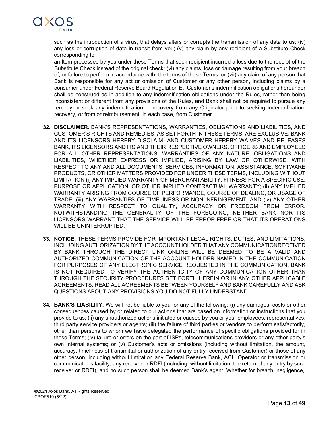

such as the introduction of a virus, that delays alters or corrupts the transmission of any data to us; (iv) any loss or corruption of data in transit from you; (v) any claim by any recipient of a Substitute Check corresponding to

an Item processed by you under these Terms that such recipient incurred a loss due to the receipt of the Substitute Check instead of the original check; (vi) any claims, loss or damage resulting from your breach of, or failure to perform in accordance with, the terms of these Terms; or (vii) any claim of any person that Bank is responsible for any act or omission of Customer or any other person, including claims by a consumer under Federal Reserve Board Regulation E. Customer's indemnification obligations hereunder shall be construed as in addition to any indemnification obligations under the Rules, rather than being inconsistent or different from any provisions of the Rules, and Bank shall not be required to pursue any remedy or seek any indemnification or recovery from any Originator prior to seeking indemnification, recovery, or from or reimbursement, in each case, from Customer.

- **32. DISCLAIMER.** BANK'S REPRESENTATIONS, WARRANTIES, OBLIGATIONS AND LIABILITIES, AND CUSTOMER'S RIGHTS AND REMEDIES, AS SET FORTH IN THESE TERMS, ARE EXCLUSIVE. BANK AND ITS LICENSORS HEREBY DISCLAIM, AND CUSTOMER HEREBY WAIVES AND RELEASES BANK, ITS LICENSORS AND ITS AND THEIR RESPECTIVE OWNERS, OFFICERS AND EMPLOYEES FOR ALL OTHER REPRESENTATIONS, WARRANTIES OF ANY NATURE, OBLIGATIONS AND LIABILITIES, WHETHER EXPRESS OR IMPLIED, ARISING BY LAW OR OTHERWISE, WITH RESPECT TO ANY AND ALL DOCUMENTS, SERVICES, INFORMATION, ASSISTANCE, SOFTWARE PRODUCTS, OR OTHER MATTERS PROVIDED FOR UNDER THESE TERMS, INCLUDING WITHOUT LIMITATION (i) ANY IMPLIED WARRANTY OF MERCHANTABILITY, FITNESS FOR A SPECIFIC USE, PURPOSE OR APPLICATION, OR OTHER IMPLIED CONTRACTUAL WARRANTY; (ii) ANY IMPLIED WARRANTY ARISING FROM COURSE OF PERFORMANCE, COURSE OF DEALING, OR USAGE OF TRADE; (iii) ANY WARRANTIES OF TIMELINESS OR NON-INFRINGEMENT; AND (iv) ANY OTHER WARRANTY WITH RESPECT TO QUALITY, ACCURACY OR FREEDOM FROM ERROR. NOTWITHSTANDING THE GENERALITY OF THE FOREGOING, NEITHER BANK NOR ITS LICENSORS WARRANT THAT THE SERVICE WILL BE ERROR-FREE OR THAT ITS OPERATIONS WILL BE UNINTERRUPTED.
- **33. NOTICE.** THESE TERMS PROVIDE FOR IMPORTANT LEGAL RIGHTS, DUTIES, AND LIMITATIONS, INCLUDING AUTHORIZATION BY THE ACCOUNT HOLDER THAT ANY COMMUNICATIONRECEIVED BY BANK THROUGH THE DIRECT LINK ONLINE WILL BE DEEMED TO BE A VALID AND AUTHORIZED COMMUNICATION OF THE ACCOUNT HOLDER NAMED IN THE COMMUNICATION FOR PURPOSES OF ANY ELECTRONIC SERVICE REQUESTED IN THE COMMUNICATION. BANK IS NOT REQUIRED TO VERIFY THE AUTHENTICITY OF ANY COMMUNICATION OTHER THAN THROUGH THE SECURITY PROCEDURES SET FORTH HEREIN OR IN ANY OTHER APPLICABLE AGREEMENTS. READ ALL AGREEMENTS BETWEEN YOURSELF AND BANK CAREFULLY AND ASK QUESTIONS ABOUT ANY PROVISIONS YOU DO NOT FULLY UNDERSTAND.
- **34. BANK'S LIABILITY.** We will not be liable to you for any of the following: (i) any damages, costs or other consequences caused by or related to our actions that are based on information or instructions that you provide to us; (ii) any unauthorized actions initiated or caused by you or your employees, representatives, third party service providers or agents; (iii) the failure of third parties or vendors to perform satisfactorily, other than persons to whom we have delegated the performance of specific obligations provided for in these Terms; (iv) failure or errors on the part of ISPs, telecommunications providers or any other party's own internal systems; or (v) Customer's acts or omissions (including without limitation, the amount, accuracy, timeliness of transmittal or authorization of any entry received from Customer) or those of any other person, including without limitation any Federal Reserve Bank, ACH Operator or transmission or communications facility, any receiver or RDFI (including, without limitation, the return of any entry by such receiver or RDFI), and no such person shall be deemed Bank's agent. Whether for breach, negligence,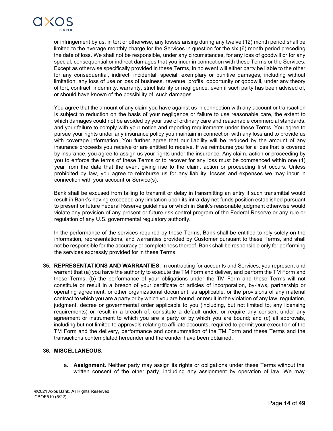

or infringement by us, in tort or otherwise, any losses arising during any twelve (12) month period shall be limited to the average monthly charge for the Services in question for the six (6) month period preceding the date of loss. We shall not be responsible, under any circumstances, for any loss of goodwill or for any special, consequential or indirect damages that you incur in connection with these Terms or the Services. Except as otherwise specifically provided in these Terms, in no event will either party be liable to the other for any consequential, indirect, incidental, special, exemplary or punitive damages, including without limitation, any loss of use or loss of business, revenue, profits, opportunity or goodwill, under any theory of tort, contract, indemnity, warranty, strict liability or negligence, even if such party has been advised of, or should have known of the possibility of, such damages.

You agree that the amount of any claim you have against us in connection with any account or transaction is subject to reduction on the basis of your negligence or failure to use reasonable care, the extent to which damages could not be avoided by your use of ordinary care and reasonable commercial standards, and your failure to comply with your notice and reporting requirements under these Terms. You agree to pursue your rights under any insurance policy you maintain in connection with any loss and to provide us with coverage information. You further agree that our liability will be reduced by the amount of any insurance proceeds you receive or are entitled to receive. If we reimburse you for a loss that is covered by insurance, you agree to assign us your rights under the insurance. Any claim, action or proceeding by you to enforce the terms of these Terms or to recover for any loss must be commenced within one (1) year from the date that the event giving rise to the claim, action or proceeding first occurs. Unless prohibited by law, you agree to reimburse us for any liability, losses and expenses we may incur in connection with your account or Service(s).

Bank shall be excused from failing to transmit or delay in transmitting an entry if such transmittal would result in Bank's having exceeded any limitation upon its intra-day net funds position established pursuant to present or future Federal Reserve guidelines or which in Bank's reasonable judgment otherwise would violate any provision of any present or future risk control program of the Federal Reserve or any rule or regulation of any U.S. governmental regulatory authority.

In the performance of the services required by these Terms, Bank shall be entitled to rely solely on the information, representations, and warranties provided by Customer pursuant to these Terms, and shall not be responsible for the accuracy or completeness thereof. Bank shall be responsible only for performing the services expressly provided for in these Terms.

**35. REPRESENTATIONS AND WARRANTIES.** In contracting for accounts and Services, you represent and warrant that (a) you have the authority to execute the TM Form and deliver, and perform the TM Form and these Terms; (b) the performance of your obligations under the TM Form and these Terms will not constitute or result in a breach of your certificate or articles of incorporation, by-laws, partnership or operating agreement, or other organizational document, as applicable, or the provisions of any material contract to which you are a party or by which you are bound, or result in the violation of any law, regulation, judgment, decree or governmental order applicable to you (including, but not limited to, any licensing requirements) or result in a breach of, constitute a default under, or require any consent under any agreement or instrument to which you are a party or by which you are bound; and (c) all approvals, including but not limited to approvals relating to affiliate accounts, required to permit your execution of the TM Form and the delivery, performance and consummation of the TM Form and these Terms and the transactions contemplated hereunder and thereunder have been obtained.

#### **36. MISCELLANEOUS.**

a. **Assignment.** Neither party may assign its rights or obligations under these Terms without the written consent of the other party, including any assignment by operation of law. We may

©2021 Axos Bank. All Rights Reserved. CBOF510 (5/22)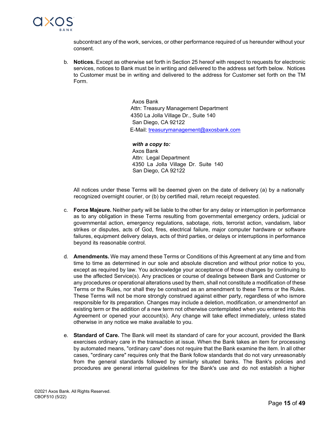

subcontract any of the work, services, or other performance required of us hereunder without your consent.

b. **Notices.** Except as otherwise set forth in Section 25 hereof with respect to requests for electronic services, notices to Bank must be in writing and delivered to the address set forth below. Notices to Customer must be in writing and delivered to the address for Customer set forth on the TM Form.

> Axos Bank Attn: Treasury Management Department 4350 La Jolla Village Dr., Suite 140 San Diego, CA 92122 E-Mail: [treasurymanagement@axosbank.com](mailto:treasurymanagement@axosbank.com)

*with a copy to:* Axos Bank Attn: Legal Department 4350 La Jolla Village Dr. Suite 140 San Diego, CA 92122

All notices under these Terms will be deemed given on the date of delivery (a) by a nationally recognized overnight courier, or (b) by certified mail, return receipt requested.

- c. **Force Majeure.** Neither party will be liable to the other for any delay or interruption in performance as to any obligation in these Terms resulting from governmental emergency orders, judicial or governmental action, emergency regulations, sabotage, riots, terrorist action, vandalism, labor strikes or disputes, acts of God, fires, electrical failure, major computer hardware or software failures, equipment delivery delays, acts of third parties, or delays or interruptions in performance beyond its reasonable control.
- d. **Amendments.** We may amend these Terms or Conditions of this Agreement at any time and from time to time as determined in our sole and absolute discretion and without prior notice to you, except as required by law. You acknowledge your acceptance of those changes by continuing to use the affected Service(s). Any practices or course of dealings between Bank and Customer or any procedures or operational alterations used by them, shall not constitute a modification of these Terms or the Rules, nor shall they be construed as an amendment to these Terms or the Rules. These Terms will not be more strongly construed against either party, regardless of who ismore responsible for its preparation. Changes may include a deletion, modification, or amendmentof an existing term or the addition of a new term not otherwise contemplated when you entered into this Agreement or opened your account(s). Any change will take effect immediately, unless stated otherwise in any notice we make available to you.
- e. **Standard of Care.** The Bank will meet its standard of care for your account, provided the Bank exercises ordinary care in the transaction at issue. When the Bank takes an item for processing by automated means, "ordinary care" does not require that the Bank examine the item. In all other cases, "ordinary care" requires only that the Bank follow standards that do not vary unreasonably from the general standards followed by similarly situated banks. The Bank's policies and procedures are general internal guidelines for the Bank's use and do not establish a higher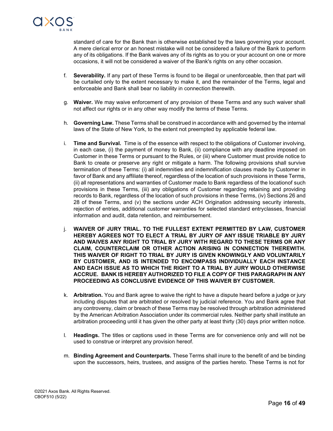

standard of care for the Bank than is otherwise established by the laws governing your account. A mere clerical error or an honest mistake will not be considered a failure of the Bank to perform any of its obligations. If the Bank waives any of its rights as to you or your account on one or more occasions, it will not be considered a waiver of the Bank's rights on any other occasion.

- f. **Severability.** If any part of these Terms is found to be illegal or unenforceable, then that part will be curtailed only to the extent necessary to make it, and the remainder of the Terms, legal and enforceable and Bank shall bear no liability in connection therewith.
- g. **Waiver.** We may waive enforcement of any provision of these Terms and any such waiver shall not affect our rights or in any other way modify the terms of these Terms.
- h. **Governing Law.** These Terms shall be construed in accordance with and governed by the internal laws of the State of New York, to the extent not preempted by applicable federal law.
- i. **Time and Survival.** Time is of the essence with respect to the obligations of Customer involving, in each case, (i) the payment of money to Bank, (ii) compliance with any deadline imposed on Customer in these Terms or pursuant to the Rules, or (iii) where Customer must provide notice to Bank to create or preserve any right or mitigate a harm. The following provisions shall survive termination of these Terms: (i) all indemnities and indemnification clauses made by Customer in favor of Bank and any affiliate thereof, regardless of the location of such provisions in these Terms, (ii) all representations and warranties of Customer made to Bank regardless of the locationof such provisions in these Terms, (iii) any obligations of Customer regarding retaining and providing records to Bank, regardless of the location of such provisions in these Terms, (iv) Sections 26 and 28 of these Terms, and (v) the sections under ACH Origination addressing security interests, rejection of entries, additional customer warranties for selected standard entryclasses, financial information and audit, data retention, and reimbursement.
- j. **WAIVER OF JURY TRIAL. TO THE FULLEST EXTENT PERMITTED BY LAW, CUSTOMER HEREBY AGREES NOT TO ELECT A TRIAL BY JURY OF ANY ISSUE TRIABLE BY JURY AND WAIVES ANY RIGHT TO TRIAL BY JURY WITH REGARD TO THESE TERMS OR ANY CLAIM, COUNTERCLAIM OR OTHER ACTION ARISING IN CONNECTION THEREWITH. THIS WAIVER OF RIGHT TO TRIAL BY JURY IS GIVEN KNOWINGLY AND VOLUNTARILY BY CUSTOMER, AND IS INTENDED TO ENCOMPASS INDIVIDUALLY EACH INSTANCE AND EACH ISSUE AS TO WHICH THE RIGHT TO A TRIAL BY JURY WOULD OTHERWISE ACCRUE. BANK IS HEREBY AUTHORIZED TO FILE A COPY OF THIS PARAGRAPH IN ANY PROCEEDING AS CONCLUSIVE EVIDENCE OF THIS WAIVER BY CUSTOMER.**
- k. **Arbitration.** You and Bank agree to waive the right to have a dispute heard before a judge or jury including disputes that are arbitrated or resolved by judicial reference. You and Bank agree that any controversy, claim or breach of these Terms may be resolved through arbitration administered by the American Arbitration Association under its commercial rules. Neither party shall institute an arbitration proceeding until it has given the other party at least thirty (30) days prior written notice.
- l. **Headings.** The titles or captions used in these Terms are for convenience only and will not be used to construe or interpret any provision hereof.
- m. **Binding Agreement and Counterparts.** These Terms shall inure to the benefit of and be binding upon the successors, heirs, trustees, and assigns of the parties hereto. These Terms is not for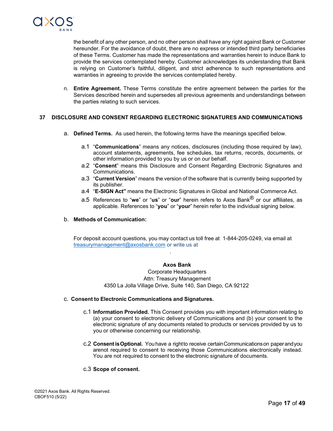

the benefit of any other person, and no other person shall have any right against Bank or Customer hereunder*.* For the avoidance of doubt, there are no express or intended third party beneficiaries of these Terms. Customer has made the representations and warranties herein to induce Bank to provide the services contemplated hereby. Customer acknowledges its understanding that Bank is relying on Customer's faithful, diligent, and strict adherence to such representations and warranties in agreeing to provide the services contemplated hereby.

n. **Entire Agreement.** These Terms constitute the entire agreement between the parties for the Services described herein and supersedes all previous agreements and understandings between the parties relating to such services.

## **37 DISCLOSURE AND CONSENT REGARDING ELECTRONIC SIGNATURES AND COMMUNICATIONS**

- a. **Defined Terms.** As used herein, the following terms have the meanings specified below.
	- a.1 "**Communications**" means any notices, disclosures (including those required by law), account statements, agreements, fee schedules, tax returns, records, documents, or other information provided to you by us or on our behalf.
	- a.2 "**Consent**" means this Disclosure and Consent Regarding Electronic Signatures and Communications.
	- a.3 "**Current Version**" means the version of the software that is currently being supported by its publisher.
	- a.4 "**E-SIGN Act"** means the Electronic Signatures in Global and National Commerce Act.
	- a.5 References to "**we**" or "**us**" or "**our**" herein refers to Axos Bank® or our affiliates, as applicable. References to "**you**" or "**your**" herein refer to the individual signing below.

## b. **Methods of Communication:**

For deposit account questions, you may contact us toll free at 1-844-205-0249, via email at [treasurymanagement@axosbank.com](mailto:treasurymanagement@axosbank.com) or write us at

#### **Axos Bank**

.

Corporate Headquarters Attn: Treasury Management 4350 La Jolla Village Drive, Suite 140, San Diego, CA 92122

#### c. **Consent to Electronic Communications and Signatures.**

- c.1 **Information Provided.** This Consent provides you with important information relating to (a) your consent to electronic delivery of Communications and (b) your consent to the electronic signature of any documents related to products or services provided by us to you or otherwise concerning our relationship.
- c.2 **Consent isOptional.** Youhave a rightto receive certainCommunicationson paperandyou arenot required to consent to receiving those Communications electronically instead. You are not required to consent to the electronic signature of documents.

#### c.3 **Scope of consent.**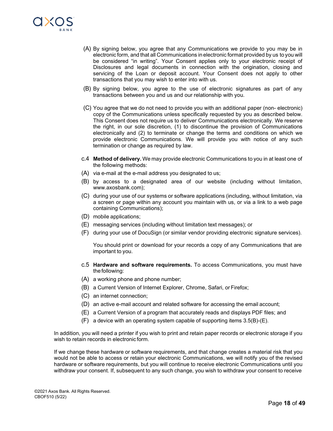

- (A) By signing below, you agree that any Communications we provide to you may be in electronic form, and that all Communications in electronic format provided by us to you will be considered "in writing". Your Consent applies only to your electronic receipt of Disclosures and legal documents in connection with the origination, closing and servicing of the Loan or deposit account. Your Consent does not apply to other transactions that you may wish to enter into with us.
- (B) By signing below, you agree to the use of electronic signatures as part of any transactions between you and us and our relationship with you.
- (C) You agree that we do not need to provide you with an additional paper (non- electronic) copy of the Communications unless specifically requested by you as described below. This Consent does not require us to deliver Communications electronically. We reserve the right, in our sole discretion, (1) to discontinue the provision of Communications electronically and (2) to terminate or change the terms and conditions on which we provide electronic Communications. We will provide you with notice of any such termination or change as required by law.
- c.4 **Method of delivery.** We may provide electronic Communications to you in at least one of the following methods:
- (A) via e-mail at the e-mail address you designated to us;
- (B) by access to a designated area of our website (including without limitation, www.axosbank.com);
- (C) during your use of our systems or software applications (including, without limitation, via a screen or page within any account you maintain with us, or via a link to a web page containing Communications);
- (D) mobile applications;
- (E) messaging services (including without limitation text messages); or
- (F) during your use of DocuSign (or similar vendor providing electronic signature services).

You should print or download for your records a copy of any Communications that are important to you.

- c.5 **Hardware and software requirements.** To access Communications, you must have the following:
- (A) a working phone and phone number;
- (B) a Current Version of Internet Explorer, Chrome, Safari, or Firefox;
- (C) an internet connection;
- (D) an active e-mail account and related software for accessing the email account;
- (E) a Current Version of a program that accurately reads and displays PDF files; and
- (F) a device with an operating system capable of supporting items 3.5(B)-(E).

In addition, you will need a printer if you wish to print and retain paper records or electronic storage if you wish to retain records in electronic form.

If we change these hardware or software requirements, and that change creates a material risk that you would not be able to access or retain your electronic Communications, we will notify you of the revised hardware or software requirements, but you will continue to receive electronic Communications until you withdraw your consent. If, subsequent to any such change, you wish to withdraw your consent to receive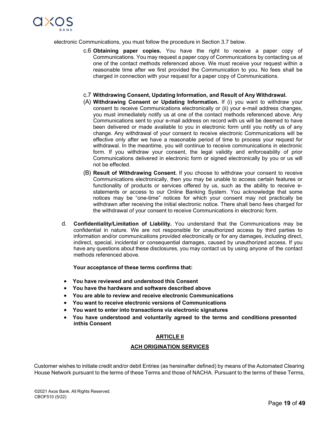

electronic Communications, you must follow the procedure in Section 3.7 below.

- c.6 **Obtaining paper copies.** You have the right to receive a paper copy of Communications. You may request a paper copy of Communications by contacting us at one of the contact methods referenced above. We must receive your request within a reasonable time after we first provided the Communication to you. No fees shall be charged in connection with your request for a paper copy of Communications.
- c.7 **Withdrawing Consent, Updating Information, and Result of Any Withdrawal.**
- (A) **Withdrawing Consent or Updating Information.** If (i) you want to withdraw your consent to receive Communications electronically or (ii) your e-mail address changes, you must immediately notify us at one of the contact methods referenced above. Any Communications sent to your e-mail address on record with us will be deemed to have been delivered or made available to you in electronic form until you notify us of any change. Any withdrawal of your consent to receive electronic Communications will be effective only after we have a reasonable period of time to process your request for withdrawal. In the meantime, you will continue to receive communications in electronic form. If you withdraw your consent, the legal validity and enforceability of prior Communications delivered in electronic form or signed electronically by you or us will not be effected.
- (B) **Result of Withdrawing Consent.** If you choose to withdraw your consent to receive Communications electronically, then you may be unable to access certain features or functionality of products or services offered by us, such as the ability to receive estatements or access to our Online Banking System. You acknowledge that some notices may be "one-time" notices for which your consent may not practically be withdrawn after receiving the initial electronic notice. There shall beno fees charged for the withdrawal of your consent to receive Communications in electronic form.
- d. **Confidentiality/Limitation of Liability.** You understand that the Communications may be confidential in nature. We are not responsible for unauthorized access by third parties to information and/or communications provided electronically or for any damages, including direct, indirect, special, incidental or consequential damages, caused by unauthorized access. If you have any questions about these disclosures, you may contact us by using anyone of the contact methods referenced above.

#### **Your acceptance of these terms confirms that:**

- **You have reviewed and understood this Consent**
- **You have the hardware and software described above**
- **You are able to review and receive electronic Communications**
- **You want to receive electronic versions of Communications**
- **You want to enter into transactions via electronic signatures**
- **You have understood and voluntarily agreed to the terms and conditions presented inthis Consent**

## **ARTICLE II**

#### **ACH ORIGINATION SERVICES**

Customer wishes to initiate credit and/or debit Entries (as hereinafter defined) by means of the Automated Clearing House Network pursuant to the terms of these Terms and those of NACHA. Pursuant to the terms of these Terms,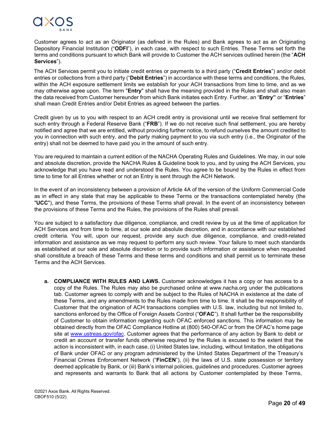

Customer agrees to act as an Originator (as defined in the Rules) and Bank agrees to act as an Originating Depository Financial Institution ("**ODFI**"), in each case, with respect to such Entries. These Terms set forth the terms and conditions pursuant to which Bank will provide to Customer the ACH services outlined herein (the "**ACH Services**").

The ACH Services permit you to initiate credit entries or payments to a third party ("**Credit Entries**") and/or debit entries or collections from a third party ("**Debit Entries**") in accordance with these terms and conditions, the Rules, within the ACH exposure settlement limits we establish for your ACH transactions from time to time, and as we may otherwise agree upon. The term "**Entry**" shall have the meaning provided in the Rules and shall also mean the data received from Customer hereunder from which Bank initiates each Entry. Further, an "**Entry"** or "**Entries**" shall mean Credit Entries and/or Debit Entries as agreed between the parties.

Credit given by us to you with respect to an ACH credit entry is provisional until we receive final settlement for such entry through a Federal Reserve Bank ("**FRB**"). If we do not receive such final settlement, you are hereby notified and agree that we are entitled, without providing further notice, to refund ourselves the amount credited to you in connection with such entry, and the party making payment to you via such entry (i.e., the Originator of the entry) shall not be deemed to have paid you in the amount of such entry.

You are required to maintain a current edition of the NACHA Operating Rules and Guidelines. We may, in our sole and absolute discretion, provide the NACHA Rules & Guideline book to you, and by using the ACH Services, you acknowledge that you have read and understood the Rules. You agree to be bound by the Rules in effect from time to time for all Entries whether or not an Entry is sent through the ACH Network.

In the event of an inconsistency between a provision of Article 4A of the version of the Uniform Commercial Code as in effect in any state that may be applicable to these Terms or the transactions contemplated hereby (the "**UCC**"), and these Terms, the provisions of these Terms shall prevail. In the event of an inconsistency between the provisions of these Terms and the Rules, the provisions of the Rules shall prevail.

You are subject to a satisfactory due diligence, compliance, and credit review by us at the time of application for ACH Services and from time to time, at our sole and absolute discretion, and in accordance with our established credit criteria. You will, upon our request, provide any such due diligence, compliance, and credit-related information and assistance as we may request to perform any such review. Your failure to meet such standards as established at our sole and absolute discretion or to provide such information or assistance when requested shall constitute a breach of these Terms and these terms and conditions and shall permit us to terminate these Terms and the ACH Services.

**a. COMPLIANCE WITH RULES AND LAWS.** Customer acknowledges it has a copy or has access to a copy of the Rules. The Rules may also be purchased online at [www.nacha.org u](http://www.nacha.org/)nder the publications tab. Customer agrees to comply with and be subject to the Rules of NACHA in existence at the date of these Terms, and any amendments to the Rules made from time to time. It shall be the responsibility of Customer that the origination of ACH transactions complies with U.S. law, including but not limited to, sanctions enforced by the Office of Foreign Assets Control ("**OFAC**"). It shall further be the responsibility of Customer to obtain information regarding such OFAC enforced sanctions. This information may be obtained directly from the OFAC Compliance Hotline at (800) 540-OFAC or from the OFAC's home page site at [www.ustreas.gov/ofac. C](http://www.ustreas.gov/ofac)ustomer agrees that the performance of any action by Bank to debit or credit an account or transfer funds otherwise required by the Rules is excused to the extent that the action is inconsistent with, in each case, (i) United States law, including, without limitation, the obligations of Bank under OFAC or any program administered by the United States Department of the Treasury's Financial Crimes Enforcement Network ("**FinCEN**"), (ii) the laws of U.S. state possession or territory deemed applicable by Bank, or (iii) Bank's internal policies, guidelines and procedures. Customer agrees and represents and warrants to Bank that all actions by Customer contemplated by these Terms,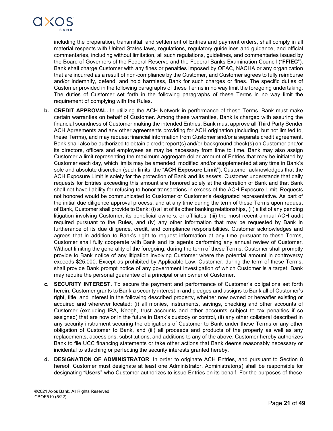

including the preparation, transmittal, and settlement of Entries and payment orders, shall comply in all material respects with United States laws, regulations, regulatory guidelines and guidance, and official commentaries, including without limitation, all such regulations, guidelines, and commentaries issued by the Board of Governors of the Federal Reserve and the Federal Banks Examination Council ("**FFIEC**"). Bank shall charge Customer with any fines or penalties imposed by OFAC, NACHA or any organization that are incurred as a result of non-compliance by the Customer, and Customer agrees to fully reimburse and/or indemnify, defend, and hold harmless, Bank for such charges or fines. The specific duties of Customer provided in the following paragraphs of these Terms in no way limit the foregoing undertaking. The duties of Customer set forth in the following paragraphs of these Terms in no way limit the requirement of complying with the Rules.

- **b. CREDIT APPROVAL.** In utilizing the ACH Network in performance of these Terms, Bank must make certain warranties on behalf of Customer. Among these warranties, Bank is charged with assuring the financial soundness of Customer making the intended Entries. Bank must approve all Third Party Sender ACH Agreements and any other agreements providing for ACH origination (including, but not limited to, these Terms), and may request financial information from Customer and/or a separate credit agreement. Bank shall also be authorized to obtain a credit report(s) and/or background check(s) on Customer and/or its directors, officers and employees as may be necessary from time to time. Bank may also assign Customer a limit representing the maximum aggregate dollar amount of Entries that may be initiated by Customer each day, which limits may be amended, modified and/or supplemented at any time in Bank's sole and absolute discretion (such limits, the "**ACH Exposure Limit**"); Customer acknowledges that the ACH Exposure Limit is solely for the protection of Bank and its assets. Customer understands that daily requests for Entries exceeding this amount are honored solely at the discretion of Bank and that Bank shall not have liability for refusing to honor transactions in excess of the ACH Exposure Limit. Requests not honored would be communicated to Customer or Customer's designated representative. As part of the initial due diligence approval process, and at any time during the term of these Terms upon request of Bank, Customer shall provide to Bank: (i) a list of its other banking relationships, (ii) a list of any pending litigation involving Customer, its beneficial owners, or affiliates, (iii) the most recent annual ACH audit required pursuant to the Rules, and (iv) any other information that may be requested by Bank in furtherance of its due diligence, credit, and compliance responsibilities. Customer acknowledges and agrees that in addition to Bank's right to request information at any time pursuant to these Terms, Customer shall fully cooperate with Bank and its agents performing any annual review of Customer. Without limiting the generality of the foregoing, during the term of these Terms, Customer shall promptly provide to Bank notice of any litigation involving Customer where the potential amount in controversy exceeds \$25,000. Except as prohibited by Applicable Law, Customer, during the term of these Terms, shall provide Bank prompt notice of any government investigation of which Customer is a target. Bank may require the personal guarantee of a principal or an owner of Customer.
- **c. SECURITY INTEREST.** To secure the payment and performance of Customer's obligations set forth herein, Customer grants to Bank a security interest in and pledges and assigns to Bank all of Customer's right, title, and interest in the following described property, whether now owned or hereafter existing or acquired and wherever located: (i) all monies, instruments, savings, checking and other accounts of Customer (excluding IRA, Keogh, trust accounts and other accounts subject to tax penalties if so assigned) that are now or in the future in Bank's custody or control, (ii) any other collateral described in any security instrument securing the obligations of Customer to Bank under these Terms or any other obligation of Customer to Bank, and (iii) all proceeds and products of the property as well as any replacements, accessions, substitutions, and additions to any of the above. Customer hereby authorizes Bank to file UCC financing statements or take other actions that Bank deems reasonably necessary or incidental to attaching or perfecting the security interests granted hereby.
- **d. DESIGNATION OF ADMINISTRATOR***.* In order to originate ACH Entries, and pursuant to Section 8 hereof, Customer must designate at least one Administrator. Administrator(s) shall be responsible for designating "**Users**" who Customer authorizes to issue Entries on its behalf. For the purposes of these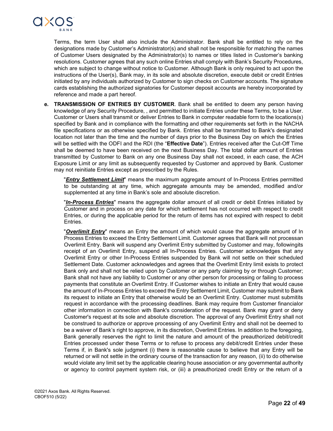

Terms, the term User shall also include the Administrator. Bank shall be entitled to rely on the designations made by Customer's Administrator(s) and shall not be responsible for matching the names of Customer Users designated by the Administrator(s) to names or titles listed in Customer's banking resolutions. Customer agrees that any such online Entries shall comply with Bank's Security Procedures, which are subject to change without notice to Customer. Although Bank is only required to act upon the instructions of the User(s), Bank may, in its sole and absolute discretion, execute debit or credit Entries initiated by any individuals authorized by Customer to sign checks on Customer accounts. The signature cards establishing the authorized signatories for Customer deposit accounts are hereby incorporated by reference and made a part hereof.

**e. TRANSMISSION OF ENTRIES BY CUSTOMER**. Bank shall be entitled to deem any person having knowledge of any Security Procedure, , and permitted to initiate Entries under these Terms, to be a User. Customer or Users shall transmit or deliver Entries to Bank in computer readable form to the locations(s) specified by Bank and in compliance with the formatting and other requirements set forth in the NACHA file specifications or as otherwise specified by Bank. Entries shall be transmitted to Bank's designated location not later than the time and the number of days prior to the Business Day on which the Entries will be settled with the ODFI and the RDI (the "**Effective Date**"). Entries received after the Cut-Off Time shall be deemed to have been received on the next Business Day. The total dollar amount of Entries transmitted by Customer to Bank on any one Business Day shall not exceed, in each case, the ACH Exposure Limit or any limit as subsequently requested by Customer and approved by Bank. Customer may not reinitiate Entries except as prescribed by the Rules.

"*Entry Settlement Limit*" means the maximum aggregate amount of In-Process Entries permitted to be outstanding at any time, which aggregate amounts may be amended, modified and/or supplemented at any time in Bank's sole and absolute discretion.

"*In-Process Entries*" means the aggregate dollar amount of all credit or debit Entries initiated by Customer and in process on any date for which settlement has not occurred with respect to credit Entries, or during the applicable period for the return of items has not expired with respect to debit Entries.

"*Overlimit Entry*" means an Entry the amount of which would cause the aggregate amount of In Process Entries to exceed the Entry Settlement Limit. Customer agrees that Bank will not processan Overlimit Entry. Bank will suspend any Overlimit Entry submitted by Customer and may, followingits receipt of an Overlimit Entry, suspend all In-Process Entries. Customer acknowledges that any Overlimit Entry or other In-Process Entries suspended by Bank will not settle on their scheduled Settlement Date. Customer acknowledges and agrees that the Overlimit Entry limit exists to protect Bank only and shall not be relied upon by Customer or any party claiming by or through Customer; Bank shall not have any liability to Customer or any other person for processing or failing to process payments that constitute an Overlimit Entry. If Customer wishes to initiate an Entry that would cause the amount of In-Process Entries to exceed the Entry Settlement Limit, Customer may submit to Bank its request to initiate an Entry that otherwise would be an Overlimit Entry. Customer must submitits request in accordance with the processing deadlines. Bank may require from Customer financialor other information in connection with Bank's consideration of the request. Bank may grant or deny Customer's request at its sole and absolute discretion. The approval of any Overlimit Entry shall not be construed to authorize or approve processing of any Overlimit Entry and shall not be deemed to be a waiver of Bank's right to approve, in its discretion, Overlimit Entries. In addition to the foregoing, Bank generally reserves the right to limit the nature and amount of the preauthorized debit/credit Entries processed under these Terms or to refuse to process any debit/credit Entries under these Terms if, in Bank's sole judgment (i) there is reasonable cause to believe that any Entry will be returned or will not settle in the ordinary course of the transaction for any reason, (ii) to do otherwise would violate any limit set by the applicable clearing house association or any governmental authority or agency to control payment system risk, or (iii) a preauthorized credit Entry or the return of a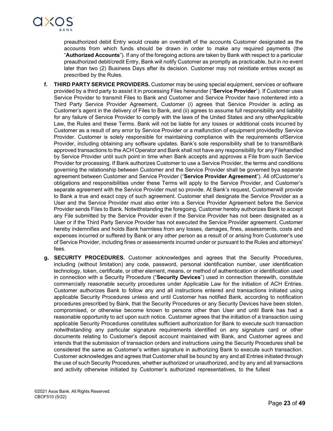

preauthorized debit Entry would create an overdraft of the accounts Customer designated as the accounts from which funds should be drawn in order to make any required payments (the "**Authorized Accounts**"). If any of the foregoing actions are taken by Bank with respect to a particular preauthorized debit/credit Entry, Bank will notify Customer as promptly as practicable, but in no event later than two (2) Business Days after its decision. Customer may not reinitiate entries except as prescribed by the Rules.

- **f. THIRD PARTY SERVICE PROVIDERS.** Customer may be using special equipment, services or software provided by a third party to assist it in processing Files hereunder ("**Service Provider**"). If Customer uses Service Provider to transmit Files to Bank and Customer and Service Provider have notentered into a Third Party Service Provider Agreement, Customer (i) agrees that Service Provider is acting as Customer's agent in the delivery of Files to Bank, and (ii) agrees to assume full responsibility and liability for any failure of Service Provider to comply with the laws of the United States and any otherApplicable Law, the Rules and these Terms. Bank will not be liable for any losses or additional costs incurred by Customer as a result of any error by Service Provider or a malfunction of equipment providedby Service Provider. Customer is solely responsible for maintaining compliance with the requirements ofService Provider, including obtaining any software updates. Bank's sole responsibility shall be to transmitBank approved transactions to the ACH Operator and Bank shall not have any responsibility for any Filehandled by Service Provider until such point in time when Bank accepts and approves a File from such Service Provider for processing. If Bank authorizes Customer to use a Service Provider, the terms and conditions governing the relationship between Customer and the Service Provider shall be governed bya separate agreement between Customer and Service Provider ("**Service Provider Agreement**"). All ofCustomer's obligations and responsibilities under these Terms will apply to the Service Provider, and Customer's separate agreement with the Service Provider must so provide. At Bank's request, Customerwill provide to Bank a true and exact copy of such agreement. Customer shall designate the Service Provider as a User and the Service Provider must also enter into a Service Provider Agreement before the Service Provider sends Files to Bank. Notwithstanding the foregoing, Customer hereby authorizes Bank to accept any File submitted by the Service Provider even if the Service Provider has not been designated as a User or if the Third Party Service Provider has not executed the Service Provider agreement. Customer hereby indemnifies and holds Bank harmless from any losses, damages, fines, assessments, costs and expenses incurred or suffered by Bank or any other person as a result of or arising from Customer's use of Service Provider, including fines or assessments incurred under or pursuant to the Rules and attorneys' fees.
- **g. SECURITY PROCEDURES.** Customer acknowledges and agrees that the Security Procedures, including (without limitation) any code, password, personal identification number, user identification technology, token, certificate, or other element, means, or method of authentication or identification used in connection with a Security Procedure ("**Security Devices**") used in connection therewith, constitute commercially reasonable security procedures under Applicable Law for the initiation of ACH Entries. Customer authorizes Bank to follow any and all instructions entered and transactions initiated using applicable Security Procedures unless and until Customer has notified Bank, according to notification procedures prescribed by Bank, that the Security Procedures or any Security Devices have been stolen, compromised, or otherwise become known to persons other than User and until Bank has had a reasonable opportunity to act upon such notice. Customer agrees that the initiation of a transaction using applicable Security Procedures constitutes sufficient authorization for Bank to execute such transaction notwithstanding any particular signature requirements identified on any signature card or other documents relating to Customer's deposit account maintained with Bank, and Customer agrees and intends that the submission of transaction orders and instructions using the Security Procedures shall be considered the same as Customer's written signature in authorizing Bank to execute such transaction. Customer acknowledges and agrees that Customer shall be bound by any and all Entries initiated through the use of such Security Procedures, whether authorized or unauthorized, and by any and all transactions and activity otherwise initiated by Customer's authorized representatives, to the fullest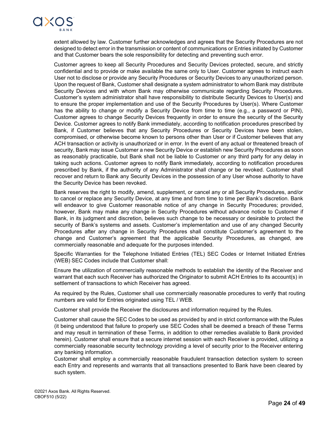

extent allowed by law. Customer further acknowledges and agrees that the Security Procedures are not designed to detect error in the transmission or content of communications or Entries initiated by Customer and that Customer bears the sole responsibility for detecting and preventing such error.

Customer agrees to keep all Security Procedures and Security Devices protected, secure, and strictly confidential and to provide or make available the same only to User. Customer agrees to instruct each User not to disclose or provide any Security Procedures or Security Devices to any unauthorized person. Upon the request of Bank, Customer shall designate a system administrator to whom Bank may distribute Security Devices and with whom Bank may otherwise communicate regarding Security Procedures. Customer's system administrator shall have responsibility to distribute Security Devices to User(s) and to ensure the proper implementation and use of the Security Procedures by User(s). Where Customer has the ability to change or modify a Security Device from time to time (e.g., a password or PIN), Customer agrees to change Security Devices frequently in order to ensure the security of the Security Device. Customer agrees to notify Bank immediately, according to notification procedures prescribed by Bank, if Customer believes that any Security Procedures or Security Devices have been stolen, compromised, or otherwise become known to persons other than User or if Customer believes that any ACH transaction or activity is unauthorized or in error. In the event of any actual or threatened breach of security, Bank may issue Customer a new Security Device or establish new Security Procedures as soon as reasonably practicable, but Bank shall not be liable to Customer or any third party for any delay in taking such actions. Customer agrees to notify Bank immediately, according to notification procedures prescribed by Bank, if the authority of any Administrator shall change or be revoked. Customer shall recover and return to Bank any Security Devices in the possession of any User whose authority to have the Security Device has been revoked.

Bank reserves the right to modify, amend, supplement, or cancel any or all Security Procedures, and/or to cancel or replace any Security Device, at any time and from time to time per Bank's discretion. Bank will endeavor to give Customer reasonable notice of any change in Security Procedures; provided, however, Bank may make any change in Security Procedures without advance notice to Customer if Bank, in its judgment and discretion, believes such change to be necessary or desirable to protect the security of Bank's systems and assets. Customer's implementation and use of any changed Security Procedures after any change in Security Procedures shall constitute Customer's agreement to the change and Customer's agreement that the applicable Security Procedures, as changed, are commercially reasonable and adequate for the purposes intended.

Specific Warranties for the Telephone Initiated Entries (TEL) SEC Codes or Internet Initiated Entries (WEB) SEC Codes include that Customer shall:

Ensure the utilization of commercially reasonable methods to establish the identity of the Receiver and warrant that each such Receiver has authorized the Originator to submit ACH Entries to its account(s) in settlement of transactions to which Receiver has agreed.

As required by the Rules, Customer shall use commercially reasonable procedures to verify that routing numbers are valid for Entries originated using TEL / WEB.

Customer shall provide the Receiver the disclosures and information required by the Rules.

Customer shall cause the SEC Codes to be used as provided by and in strict conformance with the Rules (it being understood that failure to properly use SEC Codes shall be deemed a breach of these Terms and may result in termination of these Terms, in addition to other remedies available to Bank provided herein). Customer shall ensure that a secure internet session with each Receiver is provided, utilizing a commercially reasonable security technology providing a level of security prior to the Receiver entering any banking information.

Customer shall employ a commercially reasonable fraudulent transaction detection system to screen each Entry and represents and warrants that all transactions presented to Bank have been cleared by such system.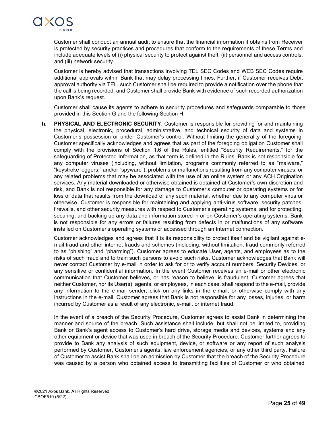

Customer shall conduct an annual audit to ensure that the financial information it obtains from Receiver is protected by security practices and procedures that conform to the requirements of these Terms and include adequate levels of (i) physical security to protect against theft, (ii) personnel and access controls, and (iii) network security.

Customer is hereby advised that transactions involving TEL SEC Codes and WEB SEC Codes require additional approvals within Bank that may delay processing times. Further, if Customer receives Debit approval authority via TEL, such Customer shall be required to provide a notification over the phone that the call is being recorded, and Customer shall provide Bank with evidence of such recorded authorization upon Bank's request.

Customer shall cause its agents to adhere to security procedures and safeguards comparable to those provided in this Section G and the following Section H.

**h. PHYSICAL AND ELECTRONIC SECURITY**. Customer is responsible for providing for and maintaining the physical, electronic, procedural, administrative, and technical security of data and systems in Customer's possession or under Customer's control. Without limiting the generality of the foregoing, Customer specifically acknowledges and agrees that as part of the foregoing obligation Customer shall comply with the provisions of Section 1.6 of the Rules, entitled "Security Requirements," for the safeguarding of Protected Information, as that term is defined in the Rules. Bank is not responsible for any computer viruses (including, without limitation, programs commonly referred to as "malware," "keystroke loggers," and/or "spyware"), problems or malfunctions resulting from any computer viruses, or any related problems that may be associated with the use of an online system or any ACH Origination services. Any material downloaded or otherwise obtained is obtained at Customer's own discretion and risk, and Bank is not responsible for any damage to Customer's computer or operating systems or for loss of data that results from the download of any such material, whether due to any computer virus or otherwise. Customer is responsible for maintaining and applying anti-virus software, security patches, firewalls, and other security measures with respect to Customer's operating systems, and for protecting, securing, and backing up any data and information stored in or on Customer's operating systems. Bank is not responsible for any errors or failures resulting from defects in or malfunctions of any software installed on Customer's operating systems or accessed through an Internet connection.

Customer acknowledges and agrees that it is its responsibility to protect itself and be vigilant against email fraud and other internet frauds and schemes (including, without limitation, fraud commonly referred to as "phishing" and "pharming"). Customer agrees to educate User, agents, and employees as to the risks of such fraud and to train such persons to avoid such risks. Customer acknowledges that Bank will never contact Customer by e-mail in order to ask for or to verify account numbers, Security Devices, or any sensitive or confidential information. In the event Customer receives an e-mail or other electronic communication that Customer believes, or has reason to believe, is fraudulent, Customer agrees that neither Customer, nor its User(s), agents, or employees, in each case, shall respond to the e-mail, provide any information to the e-mail sender, click on any links in the e-mail, or otherwise comply with any instructions in the e-mail. Customer agrees that Bank is not responsible for any losses, injuries, or harm incurred by Customer as a result of any electronic, e-mail, or internet fraud.

In the event of a breach of the Security Procedure, Customer agrees to assist Bank in determining the manner and source of the breach. Such assistance shall include, but shall not be limited to, providing Bank or Bank's agent access to Customer's hard drive, storage media and devices, systems and any other equipment or device that was used in breach of the Security Procedure. Customer further agrees to provide to Bank any analysis of such equipment, device, or software or any report of such analysis performed by Customer, Customer's agents, law enforcement agencies, or any other third party. Failure of Customer to assist Bank shall be an admission by Customer that the breach of the Security Procedure was caused by a person who obtained access to transmitting facilities of Customer or who obtained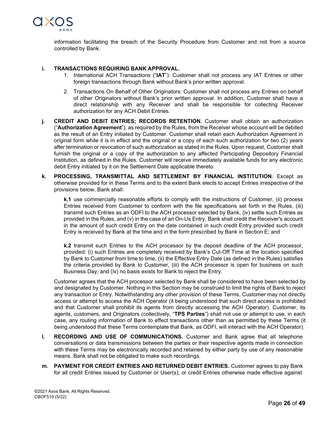

information facilitating the breach of the Security Procedure from Customer and not from a source controlled by Bank.

## **i. TRANSACTIONS REQUIRING BANK APPROVAL.**

- 1. International ACH Transactions ("**IAT**"): Customer shall not process any IAT Entries or other foreign transactions through Bank without Bank's prior written approval.
- 2. Transactions On Behalf of Other Originators: Customer shall not process any Entries on behalf of other Originators without Bank's prior written approval. In addition, Customer shall have a direct relationship with any Receiver and shall be responsible for collecting Receiver authorization for any ACH Debit Entries.
- **j. CREDIT AND DEBIT ENTRIES; RECORDS RETENTION.** Customer shall obtain an authorization ("**Authorization Agreement**"), as required by the Rules, from the Receiver whose account will be debited as the result of an Entry initiated by Customer. Customer shall retain each Authorization Agreement in original form while it is in effect and the original or a copy of each such authorization for two (2) years after termination or revocation of such authorization as stated in the Rules. Upon request, Customer shall furnish the original or a copy of the authorization to any affected Participating Depository Financial Institution, as defined in the Rules. Customer will receive immediately available funds for any electronic debit Entry initiated by it on the Settlement Date applicable thereto.
- **k. PROCESSING, TRANSMITTAL AND SETTLEMENT BY FINANCIAL INSTITUTION.** Except as otherwise provided for in these Terms and to the extent Bank elects to accept Entries irrespective of the provisions below, Bank shall:

**k.1** use commercially reasonable efforts to comply with the instructions of Customer, (ii) process Entries received from Customer to conform with the file specifications set forth in the Rules, (iii) transmit such Entries as an ODFI to the ACH processor selected by Bank, (iv) settle such Entries as provided in the Rules, and (v) in the case of an On-Us Entry, Bank shall credit the Receiver's account in the amount of such credit Entry on the date contained in such credit Entry provided such credit Entry is received by Bank at the time and in the form prescribed by Bank in Section E; and

**k.2** transmit such Entries to the ACH processor by the deposit deadline of the ACH processor, provided: (i) such Entries are completely received by Bank's Cut-Off Time at the location specified by Bank to Customer from time to time, (ii) the Effective Entry Date (as defined in the Rules) satisfies the criteria provided by Bank to Customer, (iii) the ACH processor is open for business on such Business Day, and (iv) no basis exists for Bank to reject the Entry.

Customer agrees that the ACH processor selected by Bank shall be considered to have been selected by and designated by Customer. Nothing in this Section may be construed to limit the rights of Bank to reject any transaction or Entry. Notwithstanding any other provision of these Terms, Customer may not directly access or attempt to access the ACH Operator (it being understood that such direct access is prohibited and that Customer shall prohibit its agents from directly accessing the ACH Operator). Customer, its agents, customers, and Originators (collectively, "**TPS Parties**") shall not use or attempt to use, in each case, any routing information of Bank to effect transactions other than as permitted by these Terms (it being understood that these Terms contemplate that Bank, as ODFI, will interact with the ACH Operator).

- **l. RECORDING AND USE OF COMMUNICATIONS.** Customer and Bank agree that all telephone conversations or data transmissions between the parties or their respective agents made in connection with these Terms may be electronically recorded and retained by either party by use of any reasonable means. Bank shall not be obligated to make such recordings.
- **m. PAYMENT FOR CREDIT ENTRIES AND RETURNED DEBIT ENTRIES.** Customer agrees to pay Bank for all credit Entries issued by Customer or User(s), or credit Entries otherwise made effective against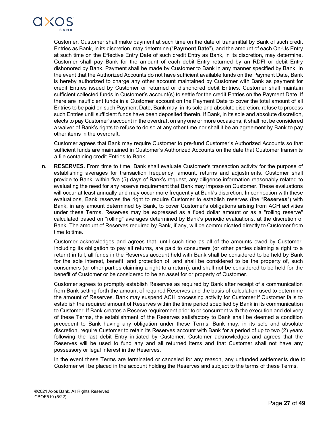

Customer. Customer shall make payment at such time on the date of transmittal by Bank of such credit Entries as Bank, in its discretion, may determine ("**Payment Date**"), and the amount of each On-Us Entry at such time on the Effective Entry Date of such credit Entry as Bank, in its discretion, may determine. Customer shall pay Bank for the amount of each debit Entry returned by an RDFI or debit Entry dishonored by Bank. Payment shall be made by Customer to Bank in any manner specified by Bank. In the event that the Authorized Accounts do not have sufficient available funds on the Payment Date, Bank is hereby authorized to charge any other account maintained by Customer with Bank as payment for credit Entries issued by Customer or returned or dishonored debit Entries. Customer shall maintain sufficient collected funds in Customer's account(s) to settle for the credit Entries on the Payment Date. If there are insufficient funds in a Customer account on the Payment Date to cover the total amount of all Entries to be paid on such Payment Date, Bank may, in its sole and absolute discretion, refuse to process such Entries until sufficient funds have been deposited therein. If Bank, in its sole and absolute discretion, elects to pay Customer's account in the overdraft on any one or more occasions, it shall not be considered a waiver of Bank's rights to refuse to do so at any other time nor shall it be an agreement by Bank to pay other items in the overdraft.

Customer agrees that Bank may require Customer to pre-fund Customer's Authorized Accounts so that sufficient funds are maintained in Customer's Authorized Accounts on the date that Customer transmits a file containing credit Entries to Bank.

**n. RESERVES.** From time to time, Bank shall evaluate Customer's transaction activity for the purpose of establishing averages for transaction frequency, amount, returns and adjustments. Customer shall provide to Bank, within five (5) days of Bank's request, any diligence information reasonably related to evaluating the need for any reserve requirement that Bank may impose on Customer. These evaluations will occur at least annually and may occur more frequently at Bank's discretion. In connection with these evaluations, Bank reserves the right to require Customer to establish reserves (the "**Reserves**") with Bank, in any amount determined by Bank, to cover Customer's obligations arising from ACH activities under these Terms. Reserves may be expressed as a fixed dollar amount or as a "rolling reserve" calculated based on "rolling" averages determined by Bank's periodic evaluations, at the discretion of Bank. The amount of Reserves required by Bank, if any, will be communicated directly to Customer from time to time.

Customer acknowledges and agrees that, until such time as all of the amounts owed by Customer, including its obligation to pay all returns, are paid to consumers (or other parties claiming a right to a return) in full, all funds in the Reserves account held with Bank shall be considered to be held by Bank for the sole interest, benefit, and protection of, and shall be considered to be the property of, such consumers (or other parties claiming a right to a return), and shall not be considered to be held for the benefit of Customer or be considered to be an asset for or property of Customer.

Customer agrees to promptly establish Reserves as required by Bank after receipt of a communication from Bank setting forth the amount of required Reserves and the basis of calculation used to determine the amount of Reserves. Bank may suspend ACH processing activity for Customer if Customer fails to establish the required amount of Reserves within the time period specified by Bank in its communication to Customer. If Bank creates a Reserve requirement prior to or concurrent with the execution and delivery of these Terms, the establishment of the Reserves satisfactory to Bank shall be deemed a condition precedent to Bank having any obligation under these Terms. Bank may, in its sole and absolute discretion, require Customer to retain its Reserves account with Bank for a period of up to two (2) years following the last debit Entry initiated by Customer. Customer acknowledges and agrees that the Reserves will be used to fund any and all returned items and that Customer shall not have any possessory or legal interest in the Reserves.

In the event these Terms are terminated or canceled for any reason, any unfunded settlements due to Customer will be placed in the account holding the Reserves and subject to the terms of these Terms.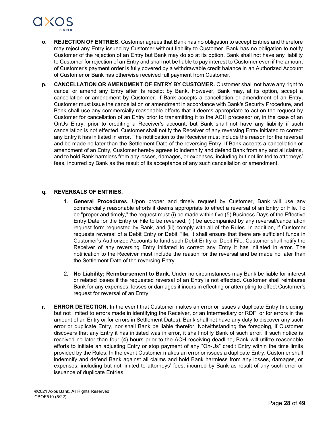

- **o. REJECTION OF ENTRIES.** Customer agrees that Bank has no obligation to accept Entries and therefore may reject any Entry issued by Customer without liability to Customer. Bank has no obligation to notify Customer of the rejection of an Entry but Bank may do so at its option. Bank shall not have any liability to Customer for rejection of an Entry and shall not be liable to pay interest to Customer even if the amount of Customer's payment order is fully covered by a withdrawable credit balance in an Authorized Account of Customer or Bank has otherwise received full payment from Customer.
- **p. CANCELLATION OR AMENDMENT OF ENTRY BY CUSTOMER.** Customer shall not have any right to cancel or amend any Entry after its receipt by Bank. However, Bank may, at its option, accept a cancellation or amendment by Customer. If Bank accepts a cancellation or amendment of an Entry, Customer must issue the cancellation or amendment in accordance with Bank's Security Procedure, and Bank shall use any commercially reasonable efforts that it deems appropriate to act on the request by Customer for cancellation of an Entry prior to transmitting it to the ACH processor or, in the case of an OnUs Entry, prior to crediting a Receiver's account, but Bank shall not have any liability if such cancellation is not effected. Customer shall notify the Receiver of any reversing Entry initiated to correct any Entry it has initiated in error. The notification to the Receiver must include the reason for the reversal and be made no later than the Settlement Date of the reversing Entry. If Bank accepts a cancellation or amendment of an Entry, Customer hereby agrees to indemnify and defend Bank from any and all claims, and to hold Bank harmless from any losses, damages, or expenses, including but not limited to attorneys' fees, incurred by Bank as the result of its acceptance of any such cancellation or amendment.

#### **q. REVERSALS OF ENTRIES.**

- 1. **General Procedure**s. Upon proper and timely request by Customer, Bank will use any commercially reasonable efforts it deems appropriate to effect a reversal of an Entry or File. To be "proper and timely," the request must (i) be made within five (5) Business Days of the Effective Entry Date for the Entry or File to be reversed, (ii) be accompanied by any reversal/cancellation request form requested by Bank, and (iii) comply with all of the Rules. In addition, if Customer requests reversal of a Debit Entry or Debit File, it shall ensure that there are sufficient funds in Customer's Authorized Accounts to fund such Debit Entry or Debit File. Customer shall notify the Receiver of any reversing Entry initiated to correct any Entry it has initiated in error. The notification to the Receiver must include the reason for the reversal and be made no later than the Settlement Date of the reversing Entry.
- 2. **No Liability; Reimbursement to Bank**. Under no circumstances may Bank be liable for interest or related losses if the requested reversal of an Entry is not effected. Customer shall reimburse Bank for any expenses, losses or damages it incurs in effecting or attempting to effect Customer's request for reversal of an Entry.
- **r. ERROR DETECTION.** In the event that Customer makes an error or issues a duplicate Entry (including but not limited to errors made in identifying the Receiver, or an Intermediary or RDFI or for errors in the amount of an Entry or for errors in Settlement Dates), Bank shall not have any duty to discover any such error or duplicate Entry, nor shall Bank be liable therefor. Notwithstanding the foregoing, if Customer discovers that any Entry it has initiated was in error, it shall notify Bank of such error. If such notice is received no later than four (4) hours prior to the ACH receiving deadline, Bank will utilize reasonable efforts to initiate an adjusting Entry or stop payment of any "On-Us" credit Entry within the time limits provided by the Rules. In the event Customer makes an error or issues a duplicate Entry, Customer shall indemnify and defend Bank against all claims and hold Bank harmless from any losses, damages, or expenses, including but not limited to attorneys' fees, incurred by Bank as result of any such error or issuance of duplicate Entries.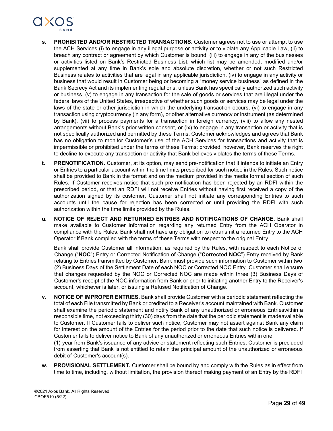

- **s. PROHIBITED AND/OR RESTRICTED TRANSACTIONS**. Customer agrees not to use or attempt to use the ACH Services (i) to engage in any illegal purpose or activity or to violate any Applicable Law, (ii) to breach any contract or agreement by which Customer is bound, (iii) to engage in any of the businesses or activities listed on Bank's Restricted Business List, which list may be amended, modified and/or supplemented at any time in Bank's sole and absolute discretion, whether or not such Restricted Business relates to activities that are legal in any applicable jurisdiction, (iv) to engage in any activity or business that would result in Customer being or becoming a "money service business" as defined in the Bank Secrecy Act and its implementing regulations, unless Bank has specifically authorized such activity or business, (v) to engage in any transaction for the sale of goods or services that are illegal under the federal laws of the United States, irrespective of whether such goods or services may be legal under the laws of the state or other jurisdiction in which the underlying transaction occurs, (vi) to engage in any transaction using cryptocurrency (in any form), or other alternative currency or instrument (as determined by Bank), (vii) to process payments for a transaction in foreign currency, (viii) to allow any nested arrangements without Bank's prior written consent, or (ix) to engage in any transaction or activity that is not specifically authorized and permitted by these Terms. Customer acknowledges and agrees that Bank has no obligation to monitor Customer's use of the ACH Services for transactions and activity that is impermissible or prohibited under the terms of these Terms; provided, however, Bank reserves the right to decline to execute any transaction or activity that Bank believes violates the terms of these Terms.
- **t. PRENOTIFICATION.** Customer, at its option, may send pre-notification that it intends to initiate an Entry or Entries to a particular account within the time limits prescribed for such notice in the Rules. Such notice shall be provided to Bank in the format and on the medium provided in the media format section of such Rules. If Customer receives notice that such pre-notification has been rejected by an RDFI within the prescribed period, or that an RDFI will not receive Entries without having first received a copy of the authorization signed by its customer, Customer shall not initiate any corresponding Entries to such accounts until the cause for rejection has been corrected or until providing the RDFI with such authorization within the time limits provided by the Rules.
- **u. NOTICE OF REJECT AND RETURNED ENTRIES AND NOTIFICATIONS OF CHANGE.** Bank shall make available to Customer information regarding any returned Entry from the ACH Operator in compliance with the Rules. Bank shall not have any obligation to retransmit a returned Entry to the ACH Operator if Bank complied with the terms of these Terms with respect to the original Entry.

Bank shall provide Customer all information, as required by the Rules, with respect to each Notice of Change ("**NOC**") Entry or Corrected Notification of Change ("**Corrected NOC**") Entry received by Bank relating to Entries transmitted by Customer. Bank must provide such information to Customer within two (2) Business Days of the Settlement Date of each NOC or Corrected NOC Entry. Customer shall ensure that changes requested by the NOC or Corrected NOC are made within three (3) Business Days of Customer's receipt of the NOC information from Bank or prior to initiating another Entry to the Receiver's account, whichever is later, or issuing a Refused Notification of Change.

**v. NOTICE OF IMPROPER ENTRIES.** Bank shall provide Customer with a periodic statement reflecting the total of each File transmitted by Bank or credited to a Receiver's account maintained with Bank. Customer shall examine the periodic statement and notify Bank of any unauthorized or erroneous Entrieswithin a responsible time, not exceeding thirty (30) days from the date that the periodic statement is madeavailable to Customer. If Customer fails to deliver such notice, Customer may not assert against Bank any claim for interest on the amount of the Entries for the period prior to the date that such notice is delivered. If Customer fails to deliver notice to Bank of any unauthorized or erroneous Entries within one

(1) year from Bank's issuance of any advice or statement reflecting such Entries, Customer is precluded from asserting that Bank is not entitled to retain the principal amount of the unauthorized or erroneous debit of Customer's account(s).

**w. PROVISIONAL SETTLEMENT.** Customer shall be bound by and comply with the Rules as in effect from time to time, including, without limitation, the provision thereof making payment of an Entry by the RDFI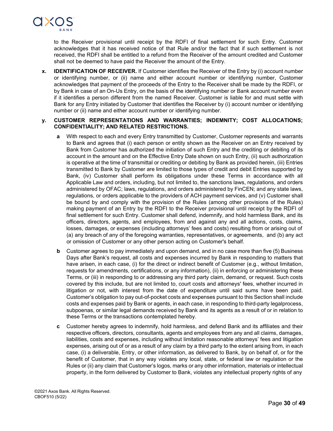

to the Receiver provisional until receipt by the RDFI of final settlement for such Entry. Customer acknowledges that it has received notice of that Rule and/or the fact that if such settlement is not received, the RDFI shall be entitled to a refund from the Receiver of the amount credited and Customer shall not be deemed to have paid the Receiver the amount of the Entry.

**x. IDENTIFICATION OF RECEIVER.** If Customer identifies the Receiver of the Entry by (i) account number or identifying number, or (ii) name and either account number or identifying number, Customer acknowledges that payment of the proceeds of the Entry to the Receiver shall be made by the RDFI, or by Bank in case of an On-Us Entry, on the basis of the identifying number or Bank account number even if it identifies a person different from the named Receiver. Customer is liable for and must settle with Bank for any Entry initiated by Customer that identifies the Receiver by (i) account number or identifying number or (ii) name and either account number or identifying number.

### **y. CUSTOMER REPRESENTATIONS AND WARRANTIES; INDEMNITY; COST ALLOCATIONS; CONFIDENTIALITY; AND RELATED RESTRICTIONS.**

- With respect to each and every Entry transmitted by Customer, Customer represents and warrants to Bank and agrees that (i) each person or entity shown as the Receiver on an Entry received by Bank from Customer has authorized the initiation of such Entry and the crediting or debiting of its account in the amount and on the Effective Entry Date shown on such Entry, (ii) such authorization is operative at the time of transmittal or crediting or debiting by Bank as provided herein, (iii) Entries transmitted to Bank by Customer are limited to those types of credit and debit Entries supported by Bank, (iv) Customer shall perform its obligations under these Terms in accordance with all Applicable Law and orders, including, but not limited to, the sanctions laws, regulations, and orders administered by OFAC; laws, regulations, and orders administered by FinCEN; and any state laws, regulations, or orders applicable to the providers of ACH payment services, and (v) Customer shall be bound by and comply with the provision of the Rules (among other provisions of the Rules) making payment of an Entry by the RDFI to the Receiver provisional until receipt by the RDFI of final settlement for such Entry. Customer shall defend, indemnify, and hold harmless Bank, and its officers, directors, agents, and employees, from and against any and all actions, costs, claims, losses, damages, or expenses (including attorneys' fees and costs) resulting from or arising out of (a) any breach of any of the foregoing warranties, representatives, or agreements, and (b) any act or omission of Customer or any other person acting on Customer's behalf.
- **b** Customer agrees to pay immediately and upon demand, and in no case more than five (5) Business Days after Bank's request, all costs and expenses incurred by Bank in responding to matters that have arisen, in each case, (i) for the direct or indirect benefit of Customer (e.g., without limitation, requests for amendments, certifications, or any information), (ii) in enforcing or administering these Terms, or (iii) in responding to or addressing any third party claim, demand, or request. Such costs covered by this include, but are not limited to, court costs and attorneys' fees, whether incurred in litigation or not, with interest from the date of expenditure until said sums have been paid. Customer's obligation to pay out-of-pocket costs and expenses pursuant to this Section shall include costs and expenses paid by Bank or agents, in each case, in responding to third-party legalprocess, subpoenas, or similar legal demands received by Bank and its agents as a result of or in relation to these Terms or the transactions contemplated hereby.
- **c** Customer hereby agrees to indemnify, hold harmless, and defend Bank and its affiliates and their respective officers, directors, consultants, agents and employees from any and all claims, damages, liabilities, costs and expenses, including without limitation reasonable attorneys' fees and litigation expenses, arising out of or as a result of any claim by a third party to the extent arising from, in each case, (i) a deliverable, Entry, or other information, as delivered to Bank, by on behalf of, or for the benefit of Customer, that in any way violates any local, state, or federal law or regulation or the Rules or (ii) any claim that Customer's logos, marks or any other information, materials or intellectual property, in the form delivered by Customer to Bank, violates any intellectual property rights of any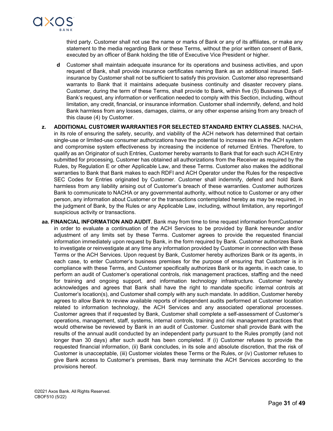

third party. Customer shall not use the name or marks of Bank or any of its affiliates, or make any statement to the media regarding Bank or these Terms, without the prior written consent of Bank, executed by an officer of Bank holding the title of Executive Vice President or higher.

- **d** Customer shall maintain adequate insurance for its operations and business activities, and upon request of Bank, shall provide insurance certificates naming Bank as an additional insured. Selfinsurance by Customer shall not be sufficient to satisfy this provision. Customer also representsand warrants to Bank that it maintains adequate business continuity and disaster recovery plans. Customer, during the term of these Terms, shall provide to Bank, within five (5) Business Days of Bank's request, any information or verification needed to comply with this Section, including, without limitation, any credit, financial, or insurance information. Customer shall indemnify, defend, and hold Bank harmless from any losses, damages, claims, or any other expense arising from any breach of this clause (4) by Customer.
- **z. ADDITIONAL CUSTOMER WARRANTIES FOR SELECTED STANDARD ENTRY CLASSES.** NACHA, in its role of ensuring the safety, security, and viability of the ACH network has determined that certain single-use or limited-use consumer authorizations have the potential to increase risk in the ACH system and compromise system effectiveness by increasing the incidence of returned Entries. Therefore, to qualify as an Originator of such Entries, Customer hereby warrants to Bank that for each such ACH Entry submitted for processing, Customer has obtained all authorizations from the Receiver as required by the Rules, by Regulation E or other Applicable Law, and these Terms. Customer also makes the additional warranties to Bank that Bank makes to each RDFI and ACH Operator under the Rules for the respective SEC Codes for Entries originated by Customer. Customer shall indemnify, defend and hold Bank harmless from any liability arising out of Customer's breach of these warranties. Customer authorizes Bank to communicate to NACHA or any governmental authority, without notice to Customer or any other person, any information about Customer or the transactions contemplated hereby as may be required, in the judgment of Bank, by the Rules or any Applicable Law, including, without limitation, any reportingof suspicious activity or transactions.
- **aa. FINANCIAL INFORMATION AND AUDIT.** Bank may from time to time request information fromCustomer in order to evaluate a continuation of the ACH Services to be provided by Bank hereunder and/or adjustment of any limits set by these Terms. Customer agrees to provide the requested financial information immediately upon request by Bank, in the form required by Bank. Customer authorizes Bank to investigate or reinvestigate at any time any information provided by Customer in connection with these Terms or the ACH Services. Upon request by Bank, Customer hereby authorizes Bank or its agents, in each case, to enter Customer's business premises for the purpose of ensuring that Customer is in compliance with these Terms, and Customer specifically authorizes Bank or its agents, in each case, to perform an audit of Customer's operational controls, risk management practices, staffing and the need for training and ongoing support, and information technology infrastructure. Customer hereby acknowledges and agrees that Bank shall have the right to mandate specific internal controls at Customer's location(s), and Customer shall comply with any such mandate. In addition, Customer hereby agrees to allow Bank to review available reports of independent audits performed at Customer location related to information technology, the ACH Services and any associated operational processes. Customer agrees that if requested by Bank, Customer shall complete a self-assessment of Customer's operations, management, staff, systems, internal controls, training and risk management practices that would otherwise be reviewed by Bank in an audit of Customer. Customer shall provide Bank with the results of the annual audit conducted by an independent party pursuant to the Rules promptly (and not longer than 30 days) after such audit has been completed. If (i) Customer refuses to provide the requested financial information, (ii) Bank concludes, in its sole and absolute discretion, that the risk of Customer is unacceptable, (iii) Customer violates these Terms or the Rules, or (iv) Customer refuses to give Bank access to Customer's premises, Bank may terminate the ACH Services according to the provisions hereof.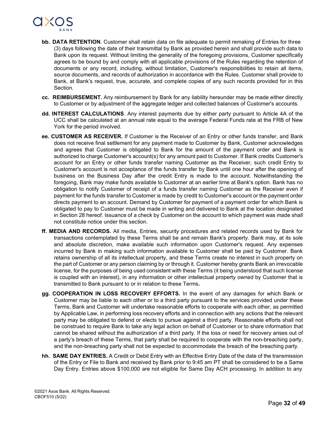

- **bb. DATA RETENTION**. Customer shall retain data on file adequate to permit remaking of Entries for three (3) days following the date of their transmittal by Bank as provided herein and shall provide such data to Bank upon its request. Without limiting the generality of the foregoing provisions, Customer specifically agrees to be bound by and comply with all applicable provisions of the Rules regarding the retention of documents or any record, including, without limitation, Customer's responsibilities to retain all items, source documents, and records of authorization in accordance with the Rules. Customer shall provide to Bank, at Bank's request, true, accurate, and complete copies of any such records provided for in this Section.
- **cc. REIMBURSEMENT.** Any reimbursement by Bank for any liability hereunder may be made either directly to Customer or by adjustment of the aggregate ledger and collected balances of Customer's accounts.
- **dd. INTEREST CALCULATIONS**. Any interest payments due by either party pursuant to Article 4A of the UCC shall be calculated at an annual rate equal to the average Federal Funds rate at the FRB of New York for the period involved.
- **ee. CUSTOMER AS RECEIVER.** If Customer is the Receiver of an Entry or other funds transfer, and Bank does not receive final settlement for any payment made to Customer by Bank, Customer acknowledges and agrees that Customer is obligated to Bank for the amount of the payment order and Bank is authorized to charge Customer's account(s) for any amount paid to Customer. If Bank credits Customer's account for an Entry or other funds transfer naming Customer as the Receiver, such credit Entry to Customer's account is not acceptance of the funds transfer by Bank until one hour after the opening of business on the Business Day after the credit Entry is made to the account. Notwithstanding the foregoing, Bank may make funds available to Customer at an earlier time at Bank's option. Bank has no obligation to notify Customer of receipt of a funds transfer naming Customer as the Receiver even if payment for the funds transfer to Customer is made by credit to Customer's account or the payment order directs payment to an account. Demand by Customer for payment of a payment order for which Bank is obligated to pay to Customer must be made in writing and delivered to Bank at the location designated in Section 28 hereof. Issuance of a check by Customer on the account to which payment was made shall not constitute notice under this section.
- **ff. MEDIA AND RECORDS.** All media, Entries, security procedures and related records used by Bank for transactions contemplated by these Terms shall be and remain Bank's property. Bank may, at its sole and absolute discretion, make available such information upon Customer's request. Any expenses incurred by Bank in making such information available to Customer shall be paid by Customer. Bank retains ownership of all its intellectual property, and these Terms create no interest in such property on the part of Customer or any person claiming by or through it. Customer hereby grants Bank an irrevocable license, for the purposes of being used consistent with these Terms (it being understood that such license is coupled with an interest), in any information or other intellectual property owned by Customer that is transmitted to Bank pursuant to or in relation to these Terms**.**
- **gg. COOPERATION IN LOSS RECOVERY EFFORTS.** In the event of any damages for which Bank or Customer may be liable to each other or to a third party pursuant to the services provided under these Terms, Bank and Customer will undertake reasonable efforts to cooperate with each other, as permitted by Applicable Law, in performing loss recovery efforts and in connection with any actions that the relevant party may be obligated to defend or elects to pursue against a third party. Reasonable efforts shall not be construed to require Bank to take any legal action on behalf of Customer or to share information that cannot be shared without the authorization of a third party. If the loss or need for recovery arises out of a party's breach of these Terms, that party shall be required to cooperate with the non-breaching party, and the non-breaching party shall not be expected to accommodate the breach of the breaching party.
- **hh. SAME DAY ENTRIES.** A Credit or Debit Entry with an Effective Entry Date of the date of the transmission of the Entry or File to Bank and received by Bank prior to 9:45 am PT shall be considered to be a Same Day Entry. Entries above \$100,000 are not eligible for Same Day ACH processing. In addition to any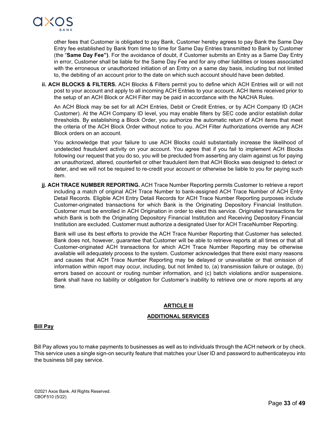

other fees that Customer is obligated to pay Bank, Customer hereby agrees to pay Bank the Same Day Entry fee established by Bank from time to time for Same Day Entries transmitted to Bank by Customer (the "**Same Day Fee")**. For the avoidance of doubt, if Customer submits an Entry as a Same Day Entry in error, Customer shall be liable for the Same Day Fee and for any other liabilities or losses associated with the erroneous or unauthorized initiation of an Entry on a same day basis, including but not limited to, the debiting of an account prior to the date on which such account should have been debited.

**ii. ACH BLOCKS & FILTERS.** ACH Blocks & Filters permit you to define which ACH Entries will or will not post to your account and apply to all incoming ACH Entries to your account. ACH Items received prior to the setup of an ACH Block or ACH Filter may be paid in accordance with the NACHA Rules.

An ACH Block may be set for all ACH Entries, Debit or Credit Entries, or by ACH Company ID (ACH Customer). At the ACH Company ID level, you may enable filters by SEC code and/or establish dollar thresholds. By establishing a Block Order, you authorize the automatic return of ACH items that meet the criteria of the ACH Block Order without notice to you. ACH Filter Authorizations override any ACH Block orders on an account.

You acknowledge that your failure to use ACH Blocks could substantially increase the likelihood of undetected fraudulent activity on your account. You agree that if you fail to implement ACH Blocks following our request that you do so, you will be precluded from asserting any claim against us for paying an unauthorized, altered, counterfeit or other fraudulent item that ACH Blocks was designed to detect or deter, and we will not be required to re-credit your account or otherwise be liable to you for paying such item.

**jj. ACH TRACE NUMBER REPORTING.** ACH Trace Number Reporting permits Customer to retrieve a report including a match of original ACH Trace Number to bank-assigned ACH Trace Number of ACH Entry Detail Records. Eligible ACH Entry Detail Records for ACH Trace Number Reporting purposes include Customer-originated transactions for which Bank is the Originating Depository Financial Institution. Customer must be enrolled in ACH Origination in order to elect this service. Originated transactions for which Bank is both the Originating Depository Financial Institution and Receiving Depository Financial Institution are excluded. Customer must authorize a designated User for ACH TraceNumber Reporting.

Bank will use its best efforts to provide the ACH Trace Number Reporting that Customer has selected. Bank does not, however, guarantee that Customer will be able to retrieve reports at all times or that all Customer-originated ACH transactions for which ACH Trace Number Reporting may be otherwise available will adequately process to the system. Customer acknowledges that there exist many reasons and causes that ACH Trace Number Reporting may be delayed or unavailable or that omission of information within report may occur, including, but not limited to, (a) transmission failure or outage, (b) errors based on account or routing number information, and (c) batch violations and/or suspensions. Bank shall have no liability or obligation for Customer's inability to retrieve one or more reports at any time.

## **ARTICLE III**

## **ADDITIONAL SERVICES**

## **Bill Pay**

Bill Pay allows you to make payments to businesses as well as to individuals through the ACH network or by check. This service uses a single sign-on security feature that matches your User ID and password to authenticateyou into the business bill pay service.

©2021 Axos Bank. All Rights Reserved. CBOF510 (5/22)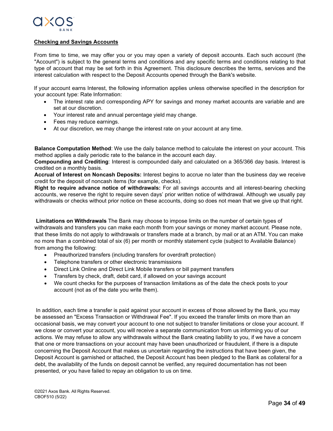

## **Checking and Savings Accounts**

From time to time, we may offer you or you may open a variety of deposit accounts. Each such account (the "Account") is subject to the general terms and conditions and any specific terms and conditions relating to that type of account that may be set forth in this Agreement. This disclosure describes the terms, services and the interest calculation with respect to the Deposit Accounts opened through the Bank's website.

If your account earns Interest, the following information applies unless otherwise specified in the description for your account type: Rate Information:

- The interest rate and corresponding APY for savings and money market accounts are variable and are set at our discretion.
- Your interest rate and annual percentage yield may change.
- Fees may reduce earnings.
- At our discretion, we may change the interest rate on your account at any time.

**Balance Computation Method**: We use the daily balance method to calculate the interest on your account. This method applies a daily periodic rate to the balance in the account each day.

**Compounding and Crediting**: Interest is compounded daily and calculated on a 365/366 day basis. Interest is credited on a monthly basis.

**Accrual of Interest on Noncash Deposits:** Interest begins to accrue no later than the business day we receive credit for the deposit of noncash items (for example, checks).

**Right to require advance notice of withdrawals:** For all savings accounts and all interest-bearing checking accounts, we reserve the right to require seven days' prior written notice of withdrawal. Although we usually pay withdrawals or checks without prior notice on these accounts, doing so does not mean that we give up that right.

**Limitations on Withdrawals** The Bank may choose to impose limits on the number of certain types of withdrawals and transfers you can make each month from your savings or money market account. Please note, that these limits do not apply to withdrawals or transfers made at a branch, by mail or at an ATM. You can make no more than a combined total of six (6) per month or monthly statement cycle (subject to Available Balance) from among the following:

- Preauthorized transfers (including transfers for overdraft protection)
- Telephone transfers or other electronic transmissions
- Direct Link Online and Direct Link Mobile transfers or bill payment transfers
- Transfers by check, draft, debit card, if allowed on your savings account
- We count checks for the purposes of transaction limitations as of the date the check posts to your account (not as of the date you write them).

In addition, each time a transfer is paid against your account in excess of those allowed by the Bank, you may be assessed an "Excess Transaction or Withdrawal Fee". If you exceed the transfer limits on more than an occasional basis, we may convert your account to one not subject to transfer limitations or close your account. If we close or convert your account, you will receive a separate communication from us informing you of our actions. We may refuse to allow any withdrawals without the Bank creating liability to you, if we have a concern that one or more transactions on your account may have been unauthorized or fraudulent, if there is a dispute concerning the Deposit Account that makes us uncertain regarding the instructions that have been given, the Deposit Account is garnished or attached, the Deposit Account has been pledged to the Bank as collateral for a debt, the availability of the funds on deposit cannot be verified, any required documentation has not been presented, or you have failed to repay an obligation to us on time.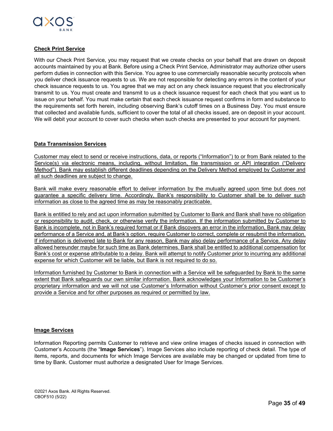

## **Check Print Service**

With our Check Print Service, you may request that we create checks on your behalf that are drawn on deposit accounts maintained by you at Bank. Before using a Check Print Service, Administrator may authorize other users perform duties in connection with this Service. You agree to use commercially reasonable security protocols when you deliver check issuance requests to us. We are not responsible for detecting any errors in the content of your check issuance requests to us. You agree that we may act on any check issuance request that you electronically transmit to us. You must create and transmit to us a check issuance request for each check that you want us to issue on your behalf. You must make certain that each check issuance request confirms in form and substance to the requirements set forth herein, including observing Bank's cutoff times on a Business Day. You must ensure that collected and available funds, sufficient to cover the total of all checks issued, are on deposit in your account. We will debit your account to cover such checks when such checks are presented to your account for payment.

## **Data Transmission Services**

Customer may elect to send or receive instructions, data, or reports ("Information") to or from Bank related to the Service(s) via electronic means, including, without limitation, file transmission or API integration ("Delivery Method"). Bank may establish different deadlines depending on the Delivery Method employed by Customer and all such deadlines are subject to change.

Bank will make every reasonable effort to deliver information by the mutually agreed upon time but does not guarantee a specific delivery time. Accordingly, Bank's responsibility to Customer shall be to deliver such information as close to the agreed time as may be reasonably practicable.

Bank is entitled to rely and act upon information submitted by Customer to Bank and Bank shall have no obligation or responsibility to audit, check, or otherwise verify the information. If the information submitted by Customer to Bank is incomplete, not in Bank's required format or if Bank discovers an error in the information, Bank may delay performance of a Service and, at Bank's option, require Customer to correct, complete or resubmit the information. If information is delivered late to Bank for any reason, Bank may also delay performance of a Service. Any delay allowed hereunder maybe for such time as Bank determines. Bank shall be entitled to additional compensation for Bank's cost or expense attributable to a delay. Bank will attempt to notify Customer prior to incurring any additional expense for which Customer will be liable, but Bank is not required to do so.

Information furnished by Customer to Bank in connection with a Service will be safeguarded by Bank to the same extent that Bank safeguards our own similar information. Bank acknowledges your Information to be Customer's proprietary information and we will not use Customer's Information without Customer's prior consent except to provide a Service and for other purposes as required or permitted by law.

#### **Image Services**

Information Reporting permits Customer to retrieve and view online images of checks issued in connection with Customer's Accounts (the "**Image Services**"). Image Services also include reporting of check detail. The type of items, reports, and documents for which Image Services are available may be changed or updated from time to time by Bank. Customer must authorize a designated User for Image Services.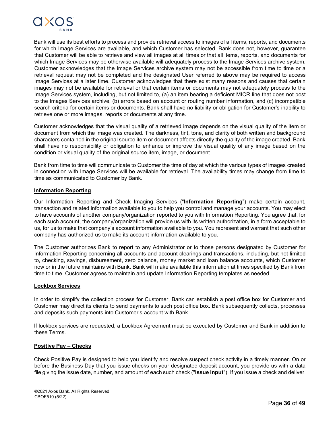

Bank will use its best efforts to process and provide retrieval access to images of all items, reports, and documents for which Image Services are available, and which Customer has selected. Bank does not, however, guarantee that Customer will be able to retrieve and view all images at all times or that all items, reports, and documents for which Image Services may be otherwise available will adequately process to the Image Services archive system. Customer acknowledges that the Image Services archive system may not be accessible from time to time or a retrieval request may not be completed and the designated User referred to above may be required to access Image Services at a later time. Customer acknowledges that there exist many reasons and causes that certain images may not be available for retrieval or that certain items or documents may not adequately process to the Image Services system, including, but not limited to, (a) an item bearing a deficient MICR line that does not post to the Images Services archive, (b) errors based on account or routing number information, and (c) incompatible search criteria for certain items or documents. Bank shall have no liability or obligation for Customer's inability to retrieve one or more images, reports or documents at any time.

Customer acknowledges that the visual quality of a retrieved image depends on the visual quality of the item or document from which the image was created. The darkness, tint, tone, and clarity of both written and background characters contained in the original source item or document affects directly the quality of the image created. Bank shall have no responsibility or obligation to enhance or improve the visual quality of any image based on the condition or visual quality of the original source item, image, or document.

Bank from time to time will communicate to Customer the time of day at which the various types of images created in connection with Image Services will be available for retrieval. The availability times may change from time to time as communicated to Customer by Bank.

#### **Information Reporting**

Our Information Reporting and Check Imaging Services ("**Information Reporting**") make certain account, transaction and related information available to you to help you control and manage your accounts. You may elect to have accounts of another company/organization reported to you with Information Reporting. You agree that, for each such account, the company/organization will provide us with its written authorization, in a form acceptable to us, for us to make that company's account information available to you. You represent and warrant that such other company has authorized us to make its account information available to you.

The Customer authorizes Bank to report to any Administrator or to those persons designated by Customer for Information Reporting concerning all accounts and account clearings and transactions, including, but not limited to, checking, savings, disbursement, zero balance, money market and loan balance accounts, which Customer now or in the future maintains with Bank. Bank will make available this information at times specified by Bank from time to time. Customer agrees to maintain and update Information Reporting templates as needed.

#### **Lockbox Services**

In order to simplify the collection process for Customer, Bank can establish a post office box for Customer and Customer may direct its clients to send payments to such post office box. Bank subsequently collects, processes and deposits such payments into Customer's account with Bank.

If lockbox services are requested, a Lockbox Agreement must be executed by Customer and Bank in addition to these Terms.

#### **Positive Pay – Checks**

Check Positive Pay is designed to help you identify and resolve suspect check activity in a timely manner. On or before the Business Day that you issue checks on your designated deposit account, you provide us with a data file giving the issue date, number, and amount of each such check ("**Issue Input**"). If you issue a check and deliver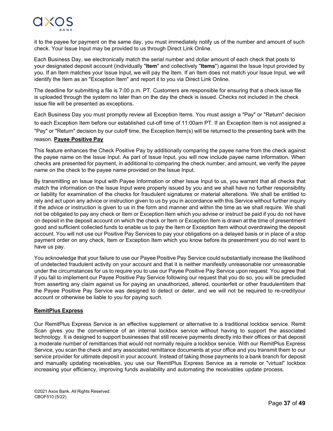

it to the payee for payment on the same day, you must immediately notify us of the number and amount of such check. Your Issue Input may be provided to us through Direct Link Online.

Each Business Day, we electronically match the serial number and dollar amount of each check that posts to your designated deposit account (individually "**Item**" and collectively "**Items**") against the Issue Input provided by you. If an Item matches your Issue Input, we will pay the Item. If an Item does not match your Issue Input, we will identify the Item as an "Exception Item" and report it to you via Direct Link Online.

The deadline for submitting a file is 7:00 p.m. PT. Customers are responsible for ensuring that a check issue file is uploaded through the system no later than on the day the check is issued. Checks not included in the check issue file will be presented as exceptions.

Each Business Day you must promptly review all Exception Items. You must assign a "Pay" or "Return" decision to each Exception Item before our established cut-off time of 11:00am PT. If an Exception Item is not assigned a "Pay" or "Return" decision by our cutoff time, the Exception Item(s) will be returned to the presenting bank with the reason. **Payee Positive Pay**

## This feature enhances the Check Positive Pay by additionally comparing the payee name from the check against the payee name on the Issue Input. As part of Issue Input, you will now include payee name information. When checks are presented for payment, in additional to comparing the check number, and amount, we verify the payee name on the check to the payee name provided on the Issue Input.

By transmitting an Issue Input with Payee Information or other Issue Input to us, you warrant that all checks that match the information on the Issue Input were properly issued by you and we shall have no further responsibility or liability for examination of the checks for fraudulent signatures or material alterations. We shall be entitled to rely and act upon any advice or instruction given to us by you in accordance with this Service without further inquiry if the advice or instruction is given to us in the form and manner and within the time as we shall require. We shall not be obligated to pay any check or Item or Exception Item which you advise or instruct be paid if you do not have on deposit in the deposit account on which the check or Item or Exception Item is drawn at the time of presentment good and sufficient collected funds to enable us to pay the Item or Exception Item without overdrawing the deposit account. You will not use our Positive Pay Services to pay your obligations on a delayed basis or in place of a stop payment order on any check, Item or Exception Item which you know before its presentment you do not want to have us pay.

You acknowledge that your failure to use our Payee Positive Pay Service could substantially increase the likelihood of undetected fraudulent activity on your account and that it is neither manifestly unreasonable nor unreasonable under the circumstances for us to require you to use our Payee Positive Pay Service upon request. You agree that if you fail to implement our Payee Positive Pay Service following our request that you do so, you will be precluded from asserting any claim against us for paying an unauthorized, altered, counterfeit or other fraudulentitem that the Payee Positive Pay Service was designed to detect or deter, and we will not be required to re-credityour account or otherwise be liable to you for paying such.

## **RemitPlus Express**

Our RemitPlus Express Service is an effective supplement or alternative to a traditional lockbox service. Remit Scan gives you the convenience of an internal lockbox service without having to support the associated technology. It is designed to support businesses that still receive payments directly into their offices or that deposit a moderate number of remittances that would not normally require a lockbox service. With our RemitPlus Express Service, you scan the check and any associated remittance documents at your office and you transmit them to our service provider for ultimate deposit in your account. Instead of taking those payments to a bank branch for deposit and manually updating receivables, you use our RemitPlus Express Service as a remote or "virtual" lockbox increasing your efficiency, improving funds availability and automating the receivables update process.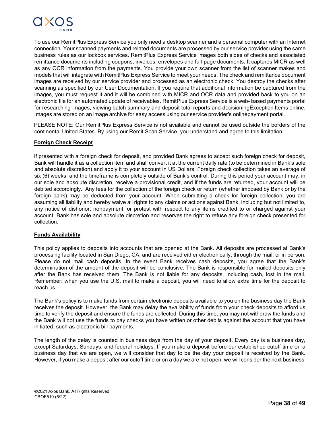

To use our RemitPlus Express Service you only need a desktop scanner and a personal computer with an Internet connection. Your scanned payments and related documents are processed by our service provider using the same business rules as our lockbox services. RemitPlus Express Service images both sides of checks and associated remittance documents including coupons, invoices, envelopes and full-page documents. It captures MICR as well as any OCR information from the payments. You provide your own scanner from the list of scanner makes and models that will integrate with RemitPlus Express Service to meet your needs. The check and remittance document images are received by our service provider and processed as an electronic check. You destroy the checks after scanning as specified by our User Documentation. If you require that additional information be captured from the images, you must request it and it will be combined with MICR and OCR data and provided back to you on an electronic file for an automated update of receivables. RemitPlus Express Service is a web- based payments portal for researching images, viewing batch summary and deposit total reports and decisioningException Items online. Images are stored on an image archive for easy access using our service provider's onlinepayment portal.

PLEASE NOTE: Our RemitPlus Express Service is not available and cannot be used outside the borders of the continental United States. By using our Remit Scan Service, you understand and agree to this limitation.

## **Foreign Check Receipt**

If presented with a foreign check for deposit, and provided Bank agrees to accept such foreign check for deposit, Bank will handle it as a collection item and shall convert it at the current daily rate (to be determined in Bank's sole and absolute discretion) and apply it to your account in US Dollars. Foreign check collection takes an average of six (6) weeks, and the timeframe is completely outside of Bank's control. During this period your account may, in our sole and absolute discretion, receive a provisional credit, and if the funds are returned, your account will be debited accordingly. Any fees for the collection of the foreign check or return (whether imposed by Bank or by the foreign bank) may be deducted from your account. When submitting a check for foreign collection, you are assuming all liability and hereby waive all rights to any claims or actions against Bank, including but not limited to, any notice of dishonor, nonpayment, or protest with respect to any items credited to or charged against your account. Bank has sole and absolute discretion and reserves the right to refuse any foreign check presented for collection.

#### **Funds Availability**

This policy applies to deposits into accounts that are opened at the Bank. All deposits are processed at Bank's processing facility located in San Diego, CA, and are received either electronically, through the mail, or in person. Please do not mail cash deposits. In the event Bank receives cash deposits, you agree that the Bank's determination of the amount of the deposit will be conclusive. The Bank is responsible for mailed deposits only after the Bank has received them. The Bank is not liable for any deposits, including cash, lost in the mail. Remember: when you use the U.S. mail to make a deposit, you will need to allow extra time for the deposit to reach us.

The Bank's policy is to make funds from certain electronic deposits available to you on the business day the Bank receives the deposit. However, the Bank may delay the availability of funds from your check deposits to afford us time to verify the deposit and ensure the funds are collected. During this time, you may not withdraw the funds and the Bank will not use the funds to pay checks you have written or other debits against the account that you have initiated, such as electronic bill payments.

The length of the delay is counted in business days from the day of your deposit. Every day is a business day, except Saturdays, Sundays, and federal holidays. If you make a deposit before our established cutoff time on a business day that we are open, we will consider that day to be the day your deposit is received by the Bank. However, if you make a deposit after our cutoff time or on a day we are not open, we will consider the next business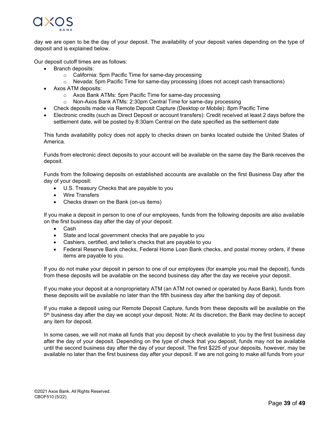

day we are open to be the day of your deposit. The availability of your deposit varies depending on the type of deposit and is explained below.

Our deposit cutoff times are as follows:

- Branch deposits:
	- o California: 5pm Pacific Time for same-day processing
	- $\circ$  Nevada: 5pm Pacific Time for same-day processing (does not accept cash transactions)
- Axos ATM deposits:
	- o Axos Bank ATMs: 5pm Pacific Time for same-day processing
	- o Non-Axos Bank ATMs: 2:30pm Central Time for same-day processing
- Check deposits made via Remote Deposit Capture (Desktop or Mobile): 8pm Pacific Time
- Electronic credits (such as Direct Deposit or account transfers): Credit received at least 2 days before the settlement date, will be posted by 8:30am Central on the date specified as the settlement date

This funds availability policy does not apply to checks drawn on banks located outside the United States of America.

Funds from electronic direct deposits to your account will be available on the same day the Bank receives the deposit.

Funds from the following deposits on established accounts are available on the first Business Day after the day of your deposit:

- U.S. Treasury Checks that are payable to you
- Wire Transfers
- Checks drawn on the Bank (on-us items)

If you make a deposit in person to one of our employees, funds from the following deposits are also available on the first business day after the day of your deposit:

- Cash
- State and local government checks that are payable to you
- Cashiers, certified, and teller's checks that are payable to you
- Federal Reserve Bank checks, Federal Home Loan Bank checks, and postal money orders, if these items are payable to you.

If you do not make your deposit in person to one of our employees (for example you mail the deposit), funds from these deposits will be available on the second business day after the day we receive your deposit.

If you make your deposit at a nonproprietary ATM (an ATM not owned or operated by Axos Bank), funds from these deposits will be available no later than the fifth business day after the banking day of deposit.

If you make a deposit using our Remote Deposit Capture, funds from these deposits will be available on the 5th business day after the day we accept your deposit. Note: At its discretion, the Bank may decline to accept any item for deposit.

In some cases, we will not make all funds that you deposit by check available to you by the first business day after the day of your deposit. Depending on the type of check that you deposit, funds may not be available until the second business day after the day of your deposit. The first \$225 of your deposits, however, may be available no later than the first business day after your deposit. If we are not going to make all funds from your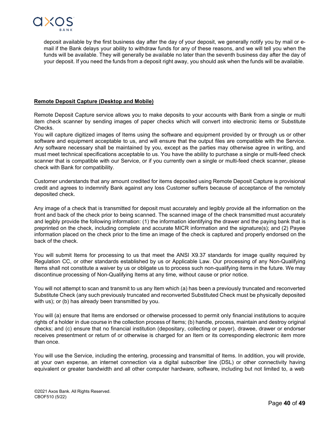

deposit available by the first business day after the day of your deposit, we generally notify you by mail or email if the Bank delays your ability to withdraw funds for any of these reasons, and we will tell you when the funds will be available. They will generally be available no later than the seventh business day after the day of your deposit. If you need the funds from a deposit right away, you should ask when the funds will be available.

## **Remote Deposit Capture (Desktop and Mobile)**

Remote Deposit Capture service allows you to make deposits to your accounts with Bank from a single or multi item check scanner by sending images of paper checks which will convert into electronic items or Substitute Checks.

You will capture digitized images of Items using the software and equipment provided by or through us or other software and equipment acceptable to us, and will ensure that the output files are compatible with the Service. Any software necessary shall be maintained by you, except as the parties may otherwise agree in writing, and must meet technical specifications acceptable to us. You have the ability to purchase a single or multi-feed check scanner that is compatible with our Service, or if you currently own a single or multi-feed check scanner, please check with Bank for compatibility.

Customer understands that any amount credited for items deposited using Remote Deposit Capture is provisional credit and agrees to indemnify Bank against any loss Customer suffers because of acceptance of the remotely deposited check.

Any image of a check that is transmitted for deposit must accurately and legibly provide all the information on the front and back of the check prior to being scanned. The scanned image of the check transmitted must accurately and legibly provide the following information: (1) the information identifying the drawer and the paying bank that is preprinted on the check, including complete and accurate MICR information and the signature(s); and (2) Payee information placed on the check prior to the time an image of the check is captured and properly endorsed on the back of the check.

You will submit Items for processing to us that meet the ANSI X9.37 standards for image quality required by Regulation CC, or other standards established by us or Applicable Law. Our processing of any Non-Qualifying Items shall not constitute a waiver by us or obligate us to process such non-qualifying items in the future. We may discontinue processing of Non-Qualifying Items at any time, without cause or prior notice.

You will not attempt to scan and transmit to us any Item which (a) has been a previously truncated and reconverted Substitute Check (any such previously truncated and reconverted Substituted Check must be physically deposited with us); or (b) has already been transmitted by you.

You will (a) ensure that Items are endorsed or otherwise processed to permit only financial institutions to acquire rights of a holder in due course in the collection process of Items; (b) handle, process, maintain and destroy original checks; and (c) ensure that no financial institution (depositary, collecting or payer), drawee, drawer or endorser receives presentment or return of or otherwise is charged for an Item or its corresponding electronic item more than once.

You will use the Service, including the entering, processing and transmittal of Items. In addition, you will provide, at your own expense, an internet connection via a digital subscriber line (DSL) or other connectivity having equivalent or greater bandwidth and all other computer hardware, software, including but not limited to, a web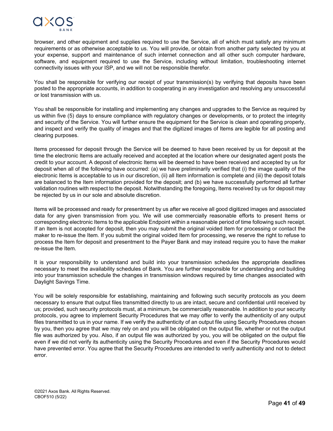

browser, and other equipment and supplies required to use the Service, all of which must satisfy any minimum requirements or as otherwise acceptable to us. You will provide, or obtain from another party selected by you at your expense, support and maintenance of such internet connection and all other such computer hardware, software, and equipment required to use the Service, including without limitation, troubleshooting internet connectivity issues with your ISP, and we will not be responsible therefor.

You shall be responsible for verifying our receipt of your transmission(s) by verifying that deposits have been posted to the appropriate accounts, in addition to cooperating in any investigation and resolving any unsuccessful or lost transmission with us.

You shall be responsible for installing and implementing any changes and upgrades to the Service as required by us within five (5) days to ensure compliance with regulatory changes or developments, or to protect the integrity and security of the Service. You will further ensure the equipment for the Service is clean and operating properly, and inspect and verify the quality of images and that the digitized images of Items are legible for all posting and clearing purposes.

Items processed for deposit through the Service will be deemed to have been received by us for deposit at the time the electronic Items are actually received and accepted at the location where our designated agent posts the credit to your account. A deposit of electronic Items will be deemed to have been received and accepted by us for deposit when all of the following have occurred: (a) we have preliminarily verified that (i) the image quality of the electronic Items is acceptable to us in our discretion, (ii) all Item information is complete and (iii) the deposit totals are balanced to the Item information provided for the deposit; and (b) we have successfully performed all further validation routines with respect to the deposit. Notwithstanding the foregoing, Items received by us for deposit may be rejected by us in our sole and absolute discretion.

Items will be processed and ready for presentment by us after we receive all good digitized images and associated data for any given transmission from you. We will use commercially reasonable efforts to present Items or corresponding electronic Items to the applicable Endpoint within a reasonable period of time following such receipt. If an Item is not accepted for deposit, then you may submit the original voided Item for processing or contact the maker to re-issue the Item. If you submit the original voided Item for processing, we reserve the right to refuse to process the Item for deposit and presentment to the Payer Bank and may instead require you to have the maker re-issue the Item.

It is your responsibility to understand and build into your transmission schedules the appropriate deadlines necessary to meet the availability schedules of Bank. You are further responsible for understanding and building into your transmission schedule the changes in transmission windows required by time changes associated with Daylight Savings Time.

You will be solely responsible for establishing, maintaining and following such security protocols as you deem necessary to ensure that output files transmitted directly to us are intact, secure and confidential until received by us; provided, such security protocols must, at a minimum, be commercially reasonable. In addition to your security protocols, you agree to implement Security Procedures that we may offer to verify the authenticity of any output files transmitted to us in your name. If we verify the authenticity of an output file using Security Procedures chosen by you, then you agree that we may rely on and you will be obligated on the output file, whether or not the output file was authorized by you. Also, if an output file was authorized by you, you will be obligated on the output file even if we did not verify its authenticity using the Security Procedures and even if the Security Procedures would have prevented error. You agree that the Security Procedures are intended to verify authenticity and not to detect error.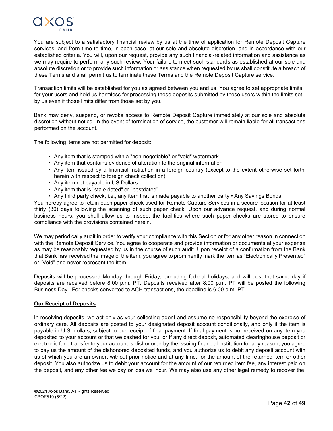

You are subject to a satisfactory financial review by us at the time of application for Remote Deposit Capture services, and from time to time, in each case, at our sole and absolute discretion, and in accordance with our established criteria. You will, upon our request, provide any such financial-related information and assistance as we may require to perform any such review. Your failure to meet such standards as established at our sole and absolute discretion or to provide such information or assistance when requested by us shall constitute a breach of these Terms and shall permit us to terminate these Terms and the Remote Deposit Capture service.

Transaction limits will be established for you as agreed between you and us. You agree to set appropriate limits for your users and hold us harmless for processing those deposits submitted by these users within the limits set by us even if those limits differ from those set by you.

Bank may deny, suspend, or revoke access to Remote Deposit Capture immediately at our sole and absolute discretion without notice. In the event of termination of service, the customer will remain liable for all transactions performed on the account.

The following items are not permitted for deposit:

- Any item that is stamped with a "non-negotiable" or "void" watermark
- Any item that contains evidence of alteration to the original information
- Any item issued by a financial institution in a foreign country (except to the extent otherwise set forth herein with respect to foreign check collection)
- Any item not payable in US Dollars
- Any item that is "stale dated" or "postdated"
- Any third party check, i.e., any item that is made payable to another party Any Savings Bonds

You hereby agree to retain each paper check used for Remote Capture Services in a secure location for at least thirty (30) days following the scanning of such paper check. Upon our advance request, and during normal business hours, you shall allow us to inspect the facilities where such paper checks are stored to ensure compliance with the provisions contained herein.

We may periodically audit in order to verify your compliance with this Section or for any other reason in connection with the Remote Deposit Service. You agree to cooperate and provide information or documents at your expense as may be reasonably requested by us in the course of such audit. Upon receipt of a confirmation from the Bank that Bank has received the image of the item, you agree to prominently mark the item as "Electronically Presented" or "Void" and never represent the item.

Deposits will be processed Monday through Friday, excluding federal holidays, and will post that same day if deposits are received before 8:00 p.m. PT. Deposits received after 8:00 p.m. PT will be posted the following Business Day. For checks converted to ACH transactions, the deadline is 6:00 p.m. PT.

#### **Our Receipt of Deposits**

In receiving deposits, we act only as your collecting agent and assume no responsibility beyond the exercise of ordinary care. All deposits are posted to your designated deposit account conditionally, and only if the item is payable in U.S. dollars, subject to our receipt of final payment. If final payment is not received on any item you deposited to your account or that we cashed for you, or if any direct deposit, automated clearinghouse deposit or electronic fund transfer to your account is dishonored by the issuing financial institution for any reason, you agree to pay us the amount of the dishonored deposited funds, and you authorize us to debit any deposit account with us of which you are an owner, without prior notice and at any time, for the amount of the returned item or other deposit. You also authorize us to debit your account for the amount of our returned item fee, any interest paid on the deposit, and any other fee we pay or loss we incur. We may also use any other legal remedy to recover the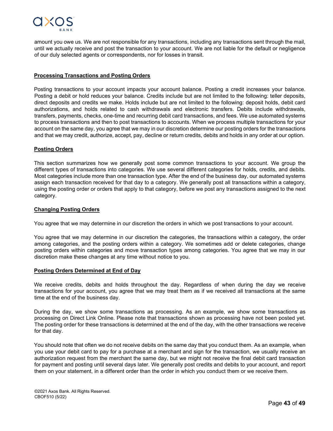

amount you owe us. We are not responsible for any transactions, including any transactions sent through the mail, until we actually receive and post the transaction to your account. We are not liable for the default or negligence of our duly selected agents or correspondents, nor for losses in transit.

### **Processing Transactions and Posting Orders**

Posting transactions to your account impacts your account balance. Posting a credit increases your balance. Posting a debit or hold reduces your balance. Credits include but are not limited to the following: teller deposits, direct deposits and credits we make. Holds include but are not limited to the following: deposit holds, debit card authorizations, and holds related to cash withdrawals and electronic transfers. Debits include withdrawals, transfers, payments, checks, one-time and recurring debit card transactions, and fees. We use automated systems to process transactions and then to post transactions to accounts. When we process multiple transactions for your account on the same day, you agree that we may in our discretion determine our posting orders for the transactions and that we may credit, authorize, accept, pay, decline or return credits, debits and holds in any order at our option.

#### **Posting Orders**

This section summarizes how we generally post some common transactions to your account. We group the different types of transactions into categories. We use several different categories for holds, credits, and debits. Most categories include more than one transaction type. After the end of the business day, our automated systems assign each transaction received for that day to a category. We generally post all transactions within a category, using the posting order or orders that apply to that category, before we post any transactions assigned to the next category.

## **Changing Posting Orders**

You agree that we may determine in our discretion the orders in which we post transactions to your account.

You agree that we may determine in our discretion the categories, the transactions within a category, the order among categories, and the posting orders within a category. We sometimes add or delete categories, change posting orders within categories and move transaction types among categories. You agree that we may in our discretion make these changes at any time without notice to you.

#### **Posting Orders Determined at End of Day**

We receive credits, debits and holds throughout the day. Regardless of when during the day we receive transactions for your account, you agree that we may treat them as if we received all transactions at the same time at the end of the business day.

During the day, we show some transactions as processing. As an example, we show some transactions as processing on Direct Link Online. Please note that transactions shown as processing have not been posted yet. The posting order for these transactions is determined at the end of the day, with the other transactions we receive for that day.

You should note that often we do not receive debits on the same day that you conduct them. As an example, when you use your debit card to pay for a purchase at a merchant and sign for the transaction, we usually receive an authorization request from the merchant the same day, but we might not receive the final debit card transaction for payment and posting until several days later. We generally post credits and debits to your account, and report them on your statement, in a different order than the order in which you conduct them or we receive them.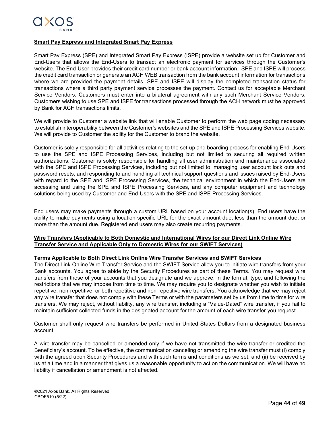

## **Smart Pay Express and Integrated Smart Pay Express**

Smart Pay Express (SPE) and Integrated Smart Pay Express (ISPE) provide a website set up for Customer and End-Users that allows the End-Users to transact an electronic payment for services through the Customer's website. The End-User provides their credit card number or bank account information. SPE and ISPE will process the credit card transaction or generate an ACH WEB transaction from the bank account information for transactions where we are provided the payment details. SPE and ISPE will display the completed transaction status for transactions where a third party payment service processes the payment. Contact us for acceptable Merchant Service Vendors. Customers must enter into a bilateral agreement with any such Merchant Service Vendors. Customers wishing to use SPE and ISPE for transactions processed through the ACH network must be approved by Bank for ACH transactions limits.

We will provide to Customer a website link that will enable Customer to perform the web page coding necessary to establish interoperability between the Customer's websites and the SPE and ISPE Processing Services website. We will provide to Customer the ability for the Customer to brand the website.

Customer is solely responsible for all activities relating to the set-up and boarding process for enabling End-Users to use the SPE and ISPE Processing Services, including but not limited to securing all required written authorizations. Customer is solely responsible for handling all user administration and maintenance associated with the SPE and ISPE Processing Services, including but not limited to, managing user account lock outs and password resets, and responding to and handling all technical support questions and issues raised by End-Users with regard to the SPE and ISPE Processing Services, the technical environment in which the End-Users are accessing and using the SPE and ISPE Processing Services, and any computer equipment and technology solutions being used by Customer and End-Users with the SPE and ISPE Processing Services.

End users may make payments through a custom URL based on your account location(s). End users have the ability to make payments using a location-specific URL for the exact amount due, less than the amount due, or more than the amount due. Registered end users may also create recurring payments.

## **Wire Transfers (Applicable to Both Domestic and International Wires for our Direct Link Online Wire Transfer Service and Applicable Only to Domestic Wires for our SWIFT Services)**

#### **Terms Applicable to Both Direct Link Online Wire Transfer Services and SWIFT Services**

The Direct Link Online Wire Transfer Service and the SWIFT Service allow you to initiate wire transfers from your Bank accounts. You agree to abide by the Security Procedures as part of these Terms. You may request wire transfers from those of your accounts that you designate and we approve, in the format, type, and following the restrictions that we may impose from time to time. We may require you to designate whether you wish to initiate repetitive, non-repetitive, or both repetitive and non-repetitive wire transfers. You acknowledge that we may reject any wire transfer that does not comply with these Terms or with the parameters set by us from time to time for wire transfers. We may reject, without liability, any wire transfer, including a "Value-Dated" wire transfer, if you fail to maintain sufficient collected funds in the designated account for the amount of each wire transfer you request.

Customer shall only request wire transfers be performed in United States Dollars from a designated business account.

A wire transfer may be cancelled or amended only if we have not transmitted the wire transfer or credited the Beneficiary's account. To be effective, the communication canceling or amending the wire transfer must (i) comply with the agreed upon Security Procedures and with such terms and conditions as we set; and (ii) be received by us at a time and in a manner that gives us a reasonable opportunity to act on the communication. We will have no liability if cancellation or amendment is not affected.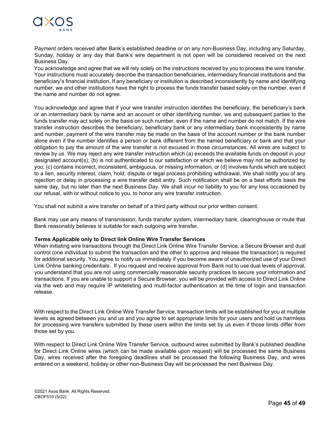

Payment orders received after Bank's established deadline or on any non-Business Day, including any Saturday, Sunday, holiday or any day that Bank's wire department is not open will be considered received on the next Business Day.

You acknowledge and agree that we will rely solely on the instructions received by you to process the wire transfer. Your instructions must accurately describe the transaction beneficiaries, intermediary financial institutions and the beneficiary's financial institution. If any beneficiary or institution is described inconsistently by name and identifying number, we and other institutions have the right to process the funds transfer based solely on the number, even if the name and number do not agree.

You acknowledge and agree that if your wire transfer instruction identifies the beneficiary, the beneficiary's bank or an intermediary bank by name and an account or other identifying number, we and subsequent parties to the funds transfer may act solely on the basis on such number, even if the name and number do not match. If the wire transfer instruction describes the beneficiary, beneficiary bank or any intermediary bank inconsistently by name and number, payment of the wire transfer may be made on the basis of the account number or the bank number alone even if the number identifies a person or bank different from the named beneficiary or bank and that your obligation to pay the amount of the wire transfer is not excused in those circumstances. All wires are subject to review by us. We may reject any wire transfer instruction which (a) exceeds the available funds on deposit in your designated account(s); (b) is not authenticated to our satisfaction or which we believe may not be authorized by you; (c) contains incorrect, inconsistent, ambiguous, or missing information; or (d) involves funds which are subject to a lien, security interest, claim, hold, dispute or legal process prohibiting withdrawal. We shall notify you of any rejection or delay in processing a wire transfer debit entry. Such notification shall be on a best efforts basis the same day, but no later than the next Business Day. We shall incur no liability to you for any loss occasioned by our refusal, with or without notice to you, to honor any wire transfer instruction.

You shall not submit a wire transfer on behalf of a third party without our prior written consent.

Bank may use any means of transmission, funds transfer system, intermediary bank, clearinghouse or route that Bank reasonably believes is suitable for each outgoing wire transfer.

#### **Terms Applicable only to Direct link Online Wire Transfer Services**

When initiating wire transactions through the Direct Link Online Wire Transfer Service, a Secure Browser and dual control (one individual to submit the transaction and the other to approve and release the transaction) is required for additional security. You agree to notify us immediately if you become aware of unauthorized use of your Direct Link Online banking credentials. If you request and receive approval from Bank not to use dual levels of approval, you understand that you are not using commercially reasonable security practices to secure your information and transactions. If you are unable to support a Secure Browser, you will be provided with access to Direct Link Online via the web and may require IP whitelisting and multi-factor authentication at the time of login and transaction release.

With respect to the Direct Link Online Wire Transfer Service, transaction limits will be established for you at multiple levels as agreed between you and us and you agree to set appropriate limits for your users and hold us harmless for processing wire transfers submitted by these users within the limits set by us even if those limits differ from those set by you.

With respect to Direct Link Online Wire Transfer Service, outbound wires submitted by Bank's published deadline for Direct Link Online wires (which can be made available upon request) will be processed the same Business Day, wires received after the foregoing deadlines shall be processed the following Business Day, and wires entered on a weekend, holiday or other non-Business Day will be processed the next Business Day.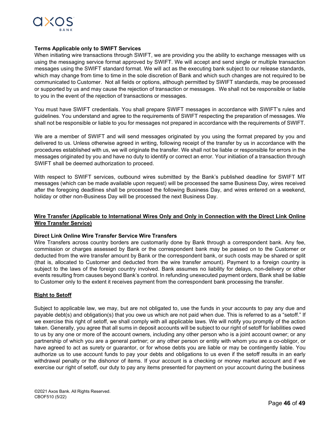

#### **Terms Applicable only to SWIFT Services**

When initiating wire transactions through SWIFT, we are providing you the ability to exchange messages with us using the messaging service format approved by SWIFT. We will accept and send single or multiple transaction messages using the SWIFT standard format. We will act as the executing bank subject to our release standards, which may change from time to time in the sole discretion of Bank and which such changes are not required to be communicated to Customer. Not all fields or options, although permitted by SWIFT standards, may be processed or supported by us and may cause the rejection of transaction or messages. We shall not be responsible or liable to you in the event of the rejection of transactions or messages.

You must have SWIFT credentials. You shall prepare SWIFT messages in accordance with SWIFT's rules and guidelines. You understand and agree to the requirements of SWIFT respecting the preparation of messages. We shall not be responsible or liable to you for messages not prepared in accordance with the requirements of SWIFT.

We are a member of SWIFT and will send messages originated by you using the format prepared by you and delivered to us. Unless otherwise agreed in writing, following receipt of the transfer by us in accordance with the procedures established with us, we will originate the transfer. We shall not be liable or responsible for errors in the messages originated by you and have no duty to identify or correct an error. Your initiation of a transaction through SWIFT shall be deemed authorization to proceed.

With respect to SWIFT services, outbound wires submitted by the Bank's published deadline for SWIFT MT messages (which can be made available upon request) will be processed the same Business Day, wires received after the foregoing deadlines shall be processed the following Business Day, and wires entered on a weekend, holiday or other non-Business Day will be processed the next Business Day.

## **Wire Transfer (Applicable to International Wires Only and Only in Connection with the Direct Link Online Wire Transfer Service)**

#### **Direct Link Online Wire Transfer Service Wire Transfers**

Wire Transfers across country borders are customarily done by Bank through a correspondent bank. Any fee, commission or charges assessed by Bank or the correspondent bank may be passed on to the Customer or deducted from the wire transfer amount by Bank or the correspondent bank, or such costs may be shared or split (that is, allocated to Customer and deducted from the wire transfer amount). Payment to a foreign country is subject to the laws of the foreign country involved. Bank assumes no liability for delays, non-delivery or other events resulting from causes beyond Bank's control. In refunding unexecuted payment orders, Bank shall be liable to Customer only to the extent it receives payment from the correspondent bank processing the transfer.

#### **Right to Setoff**

Subject to applicable law, we may, but are not obligated to, use the funds in your accounts to pay any due and payable debt(s) and obligation(s) that you owe us which are not paid when due. This is referred to as a "setoff." If we exercise this right of setoff, we shall comply with all applicable laws. We will notify you promptly of the action taken. Generally, you agree that all sums in deposit accounts will be subject to our right of setoff for liabilities owed to us by any one or more of the account owners, including any other person who is a joint account owner; or any partnership of which you are a general partner; or any other person or entity with whom you are a co-obligor, or have agreed to act as surety or guarantor, or for whose debts you are liable or may be contingently liable. You authorize us to use account funds to pay your debts and obligations to us even if the setoff results in an early withdrawal penalty or the dishonor of items. If your account is a checking or money market account and if we exercise our right of setoff, our duty to pay any items presented for payment on your account during the business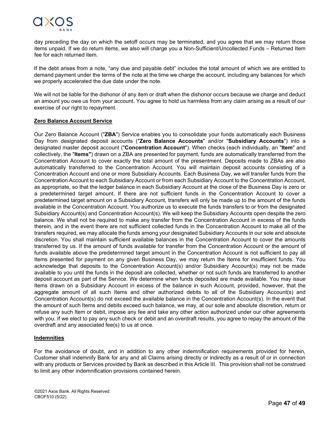

day preceding the day on which the setoff occurs may be terminated, and you agree that we may return those items unpaid. If we do return items, we also will charge you a Non-Sufficient/Uncollected Funds – Returned Item fee for each returned item.

If the debt arises from a note, "any due and payable debt" includes the total amount of which we are entitled to demand payment under the terms of the note at the time we charge the account, including any balances for which we properly accelerated the due date under the note.

We will not be liable for the dishonor of any item or draft when the dishonor occurs because we charge and deduct an amount you owe us from your account. You agree to hold us harmless from any claim arising as a result of our exercise of our right to repayment.

## **Zero Balance Account Service**

Our Zero Balance Account ("**ZBA**") Service enables you to consolidate your funds automatically each Business Day from designated deposit accounts ("**Zero Balance Accounts**" and/or "**Subsidiary Accounts**") into a designated master deposit account ("**Concentration Account**"). When checks (each individually, an "**Item**" and collectively, the "**Items"**) drawn on a ZBA are presented for payment, funds are automatically transferred from the Concentration Account to cover exactly the total amount of the presentment. Deposits made to ZBAs are also automatically transferred to the Concentration Account. You will maintain deposit accounts consisting of a Concentration Account and one or more Subsidiary Accounts. Each Business Day, we will transfer funds from the Concentration Account to each Subsidiary Account or from each Subsidiary Account to the Concentration Account, as appropriate, so that the ledger balance in each Subsidiary Account at the close of the Business Day is zero or a predetermined target amount. If there are not sufficient funds in the Concentration Account to cover a predetermined target amount on a Subsidiary Account, transfers will only be made up to the amount of the funds available in the Concentration Account. You authorize us to execute the funds transfers to or from the designated Subsidiary Account(s) and Concentration Account(s). We will keep the Subsidiary Accounts open despite the zero balance. We shall not be required to make any transfer from the Concentration Account in excess of the funds therein, and in the event there are not sufficient collected funds in the Concentration Account to make all of the transfers required, we may allocate the funds among your designated Subsidiary Accounts in our sole and absolute discretion. You shall maintain sufficient available balances in the Concentration Account to cover the amounts transferred by us. If the amount of funds available for transfer from the Concentration Account or the amount of funds available above the predetermined target amount in the Concentration Account is not sufficient to pay all Items presented for payment on any given Business Day, we may return the Items for insufficient funds. You acknowledge that deposits to the Concentration Account(s) and/or Subsidiary Account(s) may not be made available to you until the funds in the deposit are collected, whether or not such funds are transferred to another deposit account as part of the Service. We determine when funds deposited are made available. You may issue Items drawn on a Subsidiary Account in excess of the balance in such Account, provided, however, that the aggregate amount of all such Items and other authorized debits to all of the Subsidiary Account(s) and Concentration Account(s) do not exceed the available balance in the Concentration Account(s). In the event that the amount of such Items and debits exceed such balance, we may, at our sole and absolute discretion, return or refuse any such Item or debit, impose any fee and take any other action authorized under our other agreements with you. If we elect to pay any such check or debit and an overdraft results, you agree to repay the amount of the overdraft and any associated fee(s) to us at once.

#### **Indemnities**

For the avoidance of doubt, and in addition to any other indemnification requirements provided for herein, Customer shall indemnify Bank for any and all Claims arising directly or indirectly as a result of or in connection with any products or Services provided by Bank as described in this Article III. This provision shall not be construed to limit any other indemnification provisions contained herein.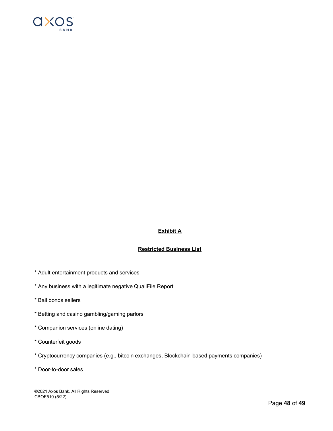

## **Exhibit A**

## **Restricted Business List**

- \* Adult entertainment products and services
- \* Any business with a legitimate negative QualiFile Report
- \* Bail bonds sellers
- \* Betting and casino gambling/gaming parlors
- \* Companion services (online dating)
- \* Counterfeit goods
- \* Cryptocurrency companies (e.g., bitcoin exchanges, Blockchain-based payments companies)
- \* Door-to-door sales

©2021 Axos Bank. All Rights Reserved. CBOF510 (5/22)